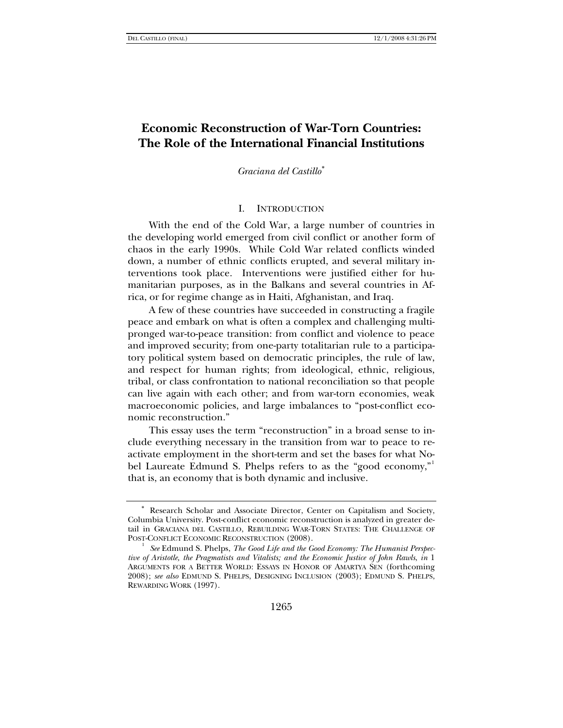# **Economic Reconstruction of War-Torn Countries: The Role of the International Financial Institutions**

*Graciana del Castillo*[∗](#page-0-0)

### I. INTRODUCTION

With the end of the Cold War, a large number of countries in the developing world emerged from civil conflict or another form of chaos in the early 1990s. While Cold War related conflicts winded down, a number of ethnic conflicts erupted, and several military interventions took place. Interventions were justified either for humanitarian purposes, as in the Balkans and several countries in Africa, or for regime change as in Haiti, Afghanistan, and Iraq.

A few of these countries have succeeded in constructing a fragile peace and embark on what is often a complex and challenging multipronged war-to-peace transition: from conflict and violence to peace and improved security; from one-party totalitarian rule to a participatory political system based on democratic principles, the rule of law, and respect for human rights; from ideological, ethnic, religious, tribal, or class confrontation to national reconciliation so that people can live again with each other; and from war-torn economies, weak macroeconomic policies, and large imbalances to "post-conflict economic reconstruction."

This essay uses the term "reconstruction" in a broad sense to include everything necessary in the transition from war to peace to reactivate employment in the short-term and set the bases for what Nobel Laureate Edmund S. Phelps refers to as the "good economy," that is, an economy that is both dynamic and inclusive.

<span id="page-0-0"></span>Research Scholar and Associate Director, Center on Capitalism and Society, Columbia University. Post-conflict economic reconstruction is analyzed in greater detail in GRACIANA DEL CASTILLO, REBUILDING WAR-TORN STATES: THE CHALLENGE OF POST-CONFLICT ECONOMIC RECONSTRUCTION (2008).

<span id="page-0-1"></span><sup>&</sup>lt;sup>1</sup> See Edmund S. Phelps, *The Good Life and the Good Economy: The Humanist Perspective of Aristotle, the Pragmatists and Vitalists; and the Economic Justice of John Rawls*, *in* 1 ARGUMENTS FOR A BETTER WORLD: ESSAYS IN HONOR OF AMARTYA SEN (forthcoming 2008); *see also* EDMUND S. PHELPS, DESIGNING INCLUSION (2003); EDMUND S. PHELPS, REWARDING WORK (1997).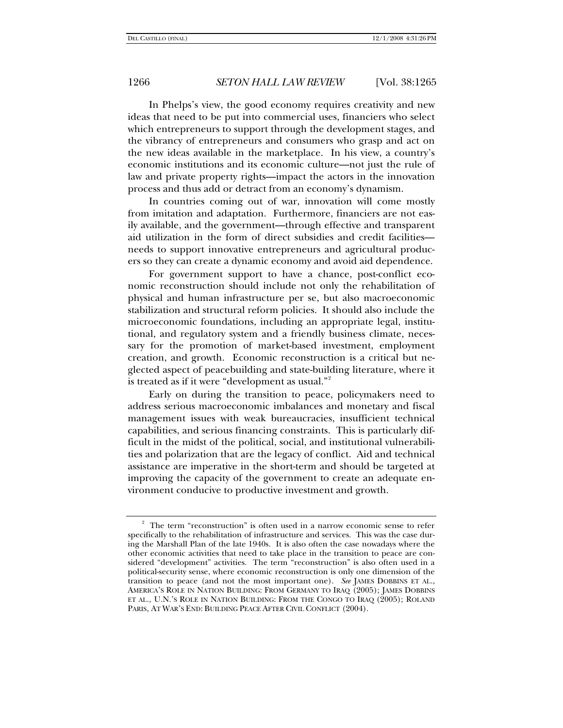In Phelps's view, the good economy requires creativity and new ideas that need to be put into commercial uses, financiers who select which entrepreneurs to support through the development stages, and the vibrancy of entrepreneurs and consumers who grasp and act on the new ideas available in the marketplace. In his view, a country's economic institutions and its economic culture—not just the rule of law and private property rights—impact the actors in the innovation process and thus add or detract from an economy's dynamism.

In countries coming out of war, innovation will come mostly from imitation and adaptation. Furthermore, financiers are not easily available, and the government—through effective and transparent aid utilization in the form of direct subsidies and credit facilities needs to support innovative entrepreneurs and agricultural producers so they can create a dynamic economy and avoid aid dependence.

For government support to have a chance, post-conflict economic reconstruction should include not only the rehabilitation of physical and human infrastructure per se, but also macroeconomic stabilization and structural reform policies. It should also include the microeconomic foundations, including an appropriate legal, institutional, and regulatory system and a friendly business climate, necessary for the promotion of market-based investment, employment creation, and growth. Economic reconstruction is a critical but neglected aspect of peacebuilding and state-building literature, where it is treated as if it were "development as usual."[2](#page-1-0)

Early on during the transition to peace, policymakers need to address serious macroeconomic imbalances and monetary and fiscal management issues with weak bureaucracies, insufficient technical capabilities, and serious financing constraints. This is particularly difficult in the midst of the political, social, and institutional vulnerabilities and polarization that are the legacy of conflict. Aid and technical assistance are imperative in the short-term and should be targeted at improving the capacity of the government to create an adequate environment conducive to productive investment and growth.

<span id="page-1-0"></span><sup>2</sup> The term "reconstruction" is often used in a narrow economic sense to refer specifically to the rehabilitation of infrastructure and services. This was the case during the Marshall Plan of the late 1940s. It is also often the case nowadays where the other economic activities that need to take place in the transition to peace are considered "development" activities. The term "reconstruction" is also often used in a political-security sense, where economic reconstruction is only one dimension of the transition to peace (and not the most important one). *See* JAMES DOBBINS ET AL., AMERICA'S ROLE IN NATION BUILDING: FROM GERMANY TO IRAQ (2005); JAMES DOBBINS ET AL., U.N.'S ROLE IN NATION BUILDING: FROM THE CONGO TO IRAQ (2005); ROLAND PARIS, AT WAR'S END: BUILDING PEACE AFTER CIVIL CONFLICT (2004).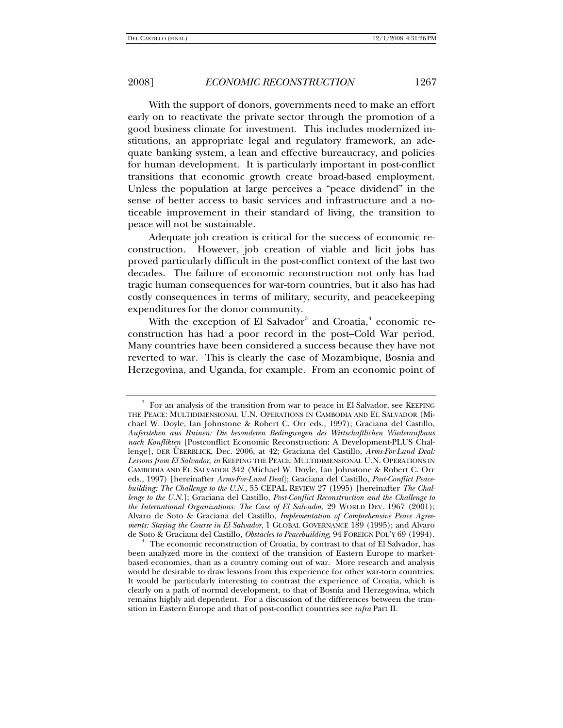With the support of donors, governments need to make an effort early on to reactivate the private sector through the promotion of a good business climate for investment. This includes modernized institutions, an appropriate legal and regulatory framework, an adequate banking system, a lean and effective bureaucracy, and policies for human development. It is particularly important in post-conflict transitions that economic growth create broad-based employment. Unless the population at large perceives a "peace dividend" in the sense of better access to basic services and infrastructure and a noticeable improvement in their standard of living, the transition to peace will not be sustainable.

Adequate job creation is critical for the success of economic reconstruction. However, job creation of viable and licit jobs has proved particularly difficult in the post-conflict context of the last two decades. The failure of economic reconstruction not only has had tragic human consequences for war-torn countries, but it also has had costly consequences in terms of military, security, and peacekeeping expenditures for the donor community.

With the exception of El Salvador $^{\rm 3}$  $^{\rm 3}$  $^{\rm 3}$  and Croatia, $^{\rm 4}$  $^{\rm 4}$  $^{\rm 4}$  economic reconstruction has had a poor record in the post–Cold War period. Many countries have been considered a success because they have not reverted to war. This is clearly the case of Mozambique, Bosnia and Herzegovina, and Uganda, for example. From an economic point of

<span id="page-2-0"></span><sup>3</sup> For an analysis of the transition from war to peace in El Salvador, see KEEPING THE PEACE: MULTIDIMENSIONAL U.N. OPERATIONS IN CAMBODIA AND EL SALVADOR (Michael W. Doyle, Ian Johnstone & Robert C. Orr eds., 1997); Graciana del Castillo, *Auferstehen aus Ruinen: Die besonderen Bedingungen des Wirtschaftlichen Wiederaufbaus nach Konflikten* [Postconflict Economic Reconstruction: A Development-PLUS Challenge], DER ÜBERBLICK, Dec. 2006, at 42; Graciana del Castillo, *Arms-For-Land Deal: Lessons from El Salvador*, *in* KEEPING THE PEACE: MULTIDIMENSIONAL U.N. OPERATIONS IN CAMBODIA AND EL SALVADOR 342 (Michael W. Doyle, Ian Johnstone & Robert C. Orr eds., 1997) [hereinafter *Arms-For-Land Deal*]; Graciana del Castillo, *Post-Conflict Peacebuilding: The Challenge to the U.N.*, 55 CEPAL REVIEW 27 (1995) [hereinafter *The Challenge to the U.N.*]; Graciana del Castillo, *Post-Conflict Reconstruction and the Challenge to the International Organizations: The Case of El Salvador*, 29 WORLD DEV. 1967 (2001); Alvaro de Soto & Graciana del Castillo, *Implementation of Comprehensive Peace Agreements: Staying the Course in El Salvador*, 1 GLOBAL GOVERNANCE 189 (1995); and Alvaro de Soto & Graciana del Castillo, *Obstacles to Peacebuilding*, 94 FOREIGN POL'Y 69 (1994). 4

<span id="page-2-1"></span>The economic reconstruction of Croatia, by contrast to that of El Salvador, has been analyzed more in the context of the transition of Eastern Europe to marketbased economies, than as a country coming out of war. More research and analysis would be desirable to draw lessons from this experience for other war-torn countries. It would be particularly interesting to contrast the experience of Croatia, which is clearly on a path of normal development, to that of Bosnia and Herzegovina, which remains highly aid dependent. For a discussion of the differences between the transition in Eastern Europe and that of post-conflict countries see *infra* Part II.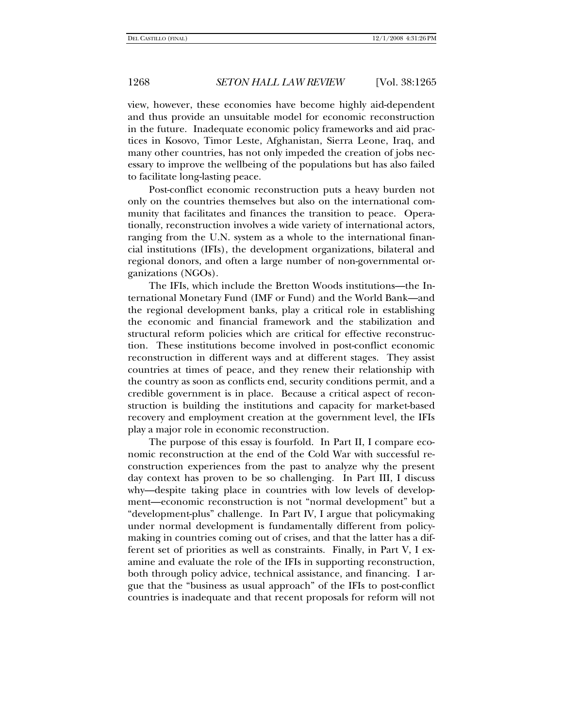view, however, these economies have become highly aid-dependent and thus provide an unsuitable model for economic reconstruction in the future. Inadequate economic policy frameworks and aid practices in Kosovo, Timor Leste, Afghanistan, Sierra Leone, Iraq, and many other countries, has not only impeded the creation of jobs necessary to improve the wellbeing of the populations but has also failed to facilitate long-lasting peace.

Post-conflict economic reconstruction puts a heavy burden not only on the countries themselves but also on the international community that facilitates and finances the transition to peace. Operationally, reconstruction involves a wide variety of international actors, ranging from the U.N. system as a whole to the international financial institutions (IFIs), the development organizations, bilateral and regional donors, and often a large number of non-governmental organizations (NGOs).

The IFIs, which include the Bretton Woods institutions—the International Monetary Fund (IMF or Fund) and the World Bank—and the regional development banks, play a critical role in establishing the economic and financial framework and the stabilization and structural reform policies which are critical for effective reconstruction. These institutions become involved in post-conflict economic reconstruction in different ways and at different stages. They assist countries at times of peace, and they renew their relationship with the country as soon as conflicts end, security conditions permit, and a credible government is in place. Because a critical aspect of reconstruction is building the institutions and capacity for market-based recovery and employment creation at the government level, the IFIs play a major role in economic reconstruction.

The purpose of this essay is fourfold. In Part II, I compare economic reconstruction at the end of the Cold War with successful reconstruction experiences from the past to analyze why the present day context has proven to be so challenging. In Part III, I discuss why—despite taking place in countries with low levels of development—economic reconstruction is not "normal development" but a "development-plus" challenge. In Part IV, I argue that policymaking under normal development is fundamentally different from policymaking in countries coming out of crises, and that the latter has a different set of priorities as well as constraints. Finally, in Part V, I examine and evaluate the role of the IFIs in supporting reconstruction, both through policy advice, technical assistance, and financing. I argue that the "business as usual approach" of the IFIs to post-conflict countries is inadequate and that recent proposals for reform will not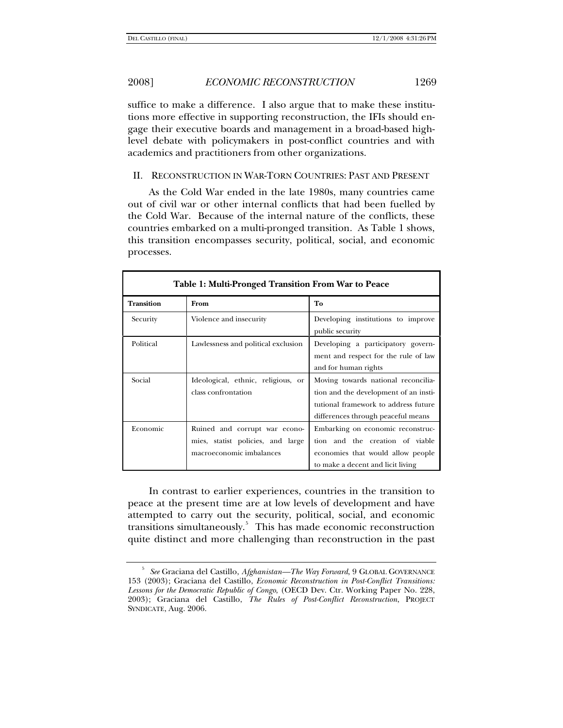suffice to make a difference. I also argue that to make these institutions more effective in supporting reconstruction, the IFIs should engage their executive boards and management in a broad-based highlevel debate with policymakers in post-conflict countries and with academics and practitioners from other organizations.

## II. RECONSTRUCTION IN WAR-TORN COUNTRIES: PAST AND PRESENT

As the Cold War ended in the late 1980s, many countries came out of civil war or other internal conflicts that had been fuelled by the Cold War. Because of the internal nature of the conflicts, these countries embarked on a multi-pronged transition. As Table 1 shows, this transition encompasses security, political, social, and economic processes.

| Table 1: Multi-Pronged Transition From War to Peace |                                                                                                |                                                                                                                                                            |  |  |  |
|-----------------------------------------------------|------------------------------------------------------------------------------------------------|------------------------------------------------------------------------------------------------------------------------------------------------------------|--|--|--|
| <b>Transition</b>                                   | From                                                                                           | To                                                                                                                                                         |  |  |  |
| Security                                            | Violence and insecurity                                                                        | Developing institutions to improve<br>public security                                                                                                      |  |  |  |
| Political                                           | Lawlessness and political exclusion                                                            | Developing a participatory govern-<br>ment and respect for the rule of law<br>and for human rights                                                         |  |  |  |
| Social                                              | Ideological, ethnic, religious, or<br>class confrontation                                      | Moving towards national reconcilia-<br>tion and the development of an insti-<br>tutional framework to address future<br>differences through peaceful means |  |  |  |
| Economic                                            | Ruined and corrupt war econo-<br>mies, statist policies, and large<br>macroeconomic imbalances | Embarking on economic reconstruc-<br>tion and the creation of viable<br>economies that would allow people<br>to make a decent and licit living             |  |  |  |

In contrast to earlier experiences, countries in the transition to peace at the present time are at low levels of development and have attempted to carry out the security, political, social, and economic transitions simultaneously.<sup>[5](#page-4-0)</sup> This has made economic reconstruction quite distinct and more challenging than reconstruction in the past

<span id="page-4-0"></span><sup>5</sup>  *See* Graciana del Castillo, *Afghanistan—The Way Forward*, 9 GLOBAL GOVERNANCE 153 (2003); Graciana del Castillo, *Economic Reconstruction in Post-Conflict Transitions: Lessons for the Democratic Republic of Congo*, (OECD Dev. Ctr. Working Paper No. 228, 2003); Graciana del Castillo, *The Rules of Post-Conflict Reconstruction*, PROJECT SYNDICATE, Aug. 2006.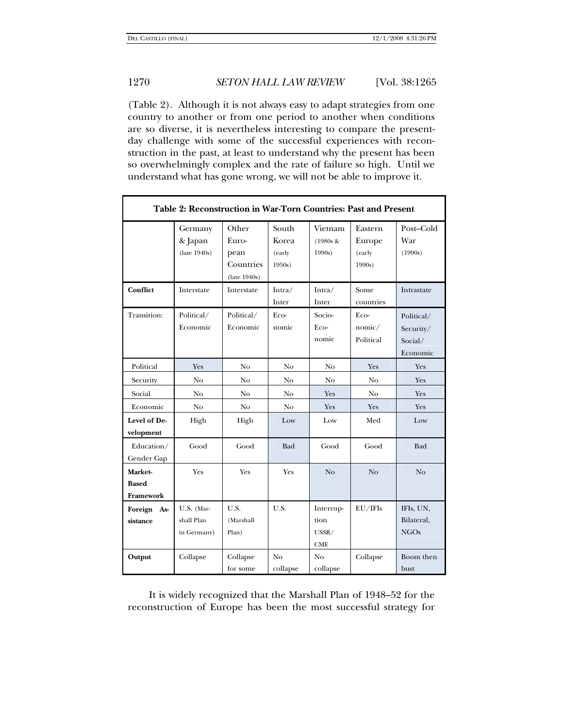(Table 2). Although it is not always easy to adapt strategies from one country to another or from one period to another when conditions are so diverse, it is nevertheless interesting to compare the presentday challenge with some of the successful experiences with reconstruction in the past, at least to understand why the present has been so overwhelmingly complex and the rate of failure so high. Until we understand what has gone wrong, we will not be able to improve it.

| Table 2: Reconstruction in War-Torn Countries: Past and Present |                                         |                                                     |                                   |                                          |                                      |                                                |
|-----------------------------------------------------------------|-----------------------------------------|-----------------------------------------------------|-----------------------------------|------------------------------------------|--------------------------------------|------------------------------------------------|
|                                                                 | Germany<br>& Japan<br>(late 1940s)      | Other<br>Euro-<br>pean<br>Countries<br>(late 1940s) | South<br>Korea<br>(early<br>1950s | Vietnam<br>$(1980s \&$<br>1990s          | Eastern<br>Europe<br>(early<br>1990s | Post-Cold<br>War<br>(1990s)                    |
| <b>Conflict</b>                                                 | Interstate                              | Interstate                                          | Intra/<br>Inter                   | Intra/<br>Inter                          | Some<br>countries                    | Intrastate                                     |
| Transition:                                                     | Political/<br>Economic                  | Political/<br>Economic                              | Eco-<br>nomic                     | Socio-<br>Eco-<br>nomic                  | Eco-<br>nomic/<br>Political          | Political/<br>Security/<br>Social/<br>Economic |
| Political                                                       | Yes                                     | No                                                  | No                                | No                                       | Yes                                  | Yes                                            |
| Security                                                        | No                                      | No                                                  | No                                | No                                       | No                                   | Yes                                            |
| Social                                                          | No                                      | No                                                  | No                                | Yes                                      | No                                   | Yes                                            |
| Economic                                                        | No                                      | No                                                  | N <sub>o</sub>                    | Yes                                      | Yes                                  | Yes                                            |
| Level of De-<br>velopment                                       | High                                    | High                                                | Low                               | Low                                      | Med                                  | Low                                            |
| Education/<br>Gender Gap                                        | Good                                    | Good                                                | Bad                               | Good                                     | Good                                 | Bad                                            |
| Market-<br><b>Based</b><br>Framework                            | Yes                                     | Yes                                                 | Yes                               | N <sub>o</sub>                           | N <sub>o</sub>                       | N <sub>o</sub>                                 |
| Foreign As-<br>sistance                                         | U.S. (Mar-<br>shall Plan<br>in Germany) | U.S.<br>(Marshall<br>Plan)                          | U.S.                              | Interrup-<br>tion<br>USSR/<br><b>CME</b> | EU/IFIs                              | IFIs, UN,<br>Bilateral,<br><b>NGOs</b>         |
| Output                                                          | Collapse                                | Collapse<br>for some                                | No<br>collapse                    | No<br>collapse                           | Collapse                             | Boom then<br>bust                              |

It is widely recognized that the Marshall Plan of 1948–52 for the reconstruction of Europe has been the most successful strategy for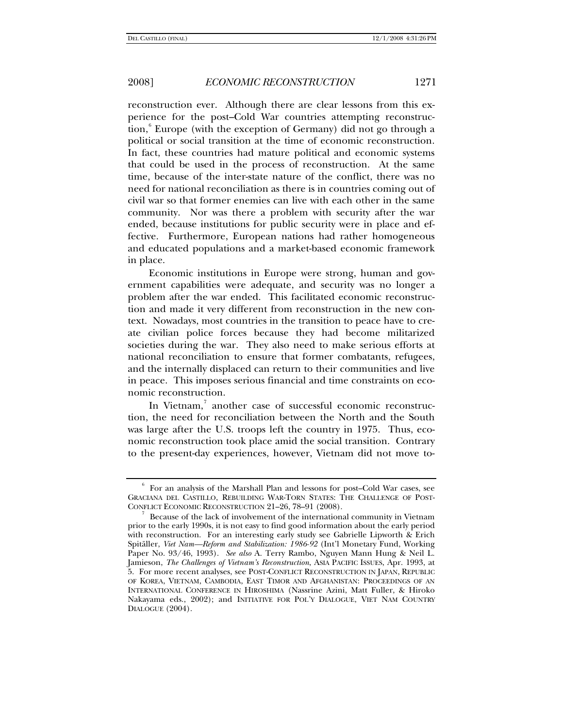reconstruction ever. Although there are clear lessons from this experience for the post–Cold War countries attempting reconstruc-tion,<sup>[6](#page-6-0)</sup> Europe (with the exception of Germany) did not go through a political or social transition at the time of economic reconstruction. In fact, these countries had mature political and economic systems that could be used in the process of reconstruction. At the same time, because of the inter-state nature of the conflict, there was no need for national reconciliation as there is in countries coming out of civil war so that former enemies can live with each other in the same community. Nor was there a problem with security after the war ended, because institutions for public security were in place and effective. Furthermore, European nations had rather homogeneous and educated populations and a market-based economic framework in place.

Economic institutions in Europe were strong, human and government capabilities were adequate, and security was no longer a problem after the war ended. This facilitated economic reconstruction and made it very different from reconstruction in the new context. Nowadays, most countries in the transition to peace have to create civilian police forces because they had become militarized societies during the war. They also need to make serious efforts at national reconciliation to ensure that former combatants, refugees, and the internally displaced can return to their communities and live in peace. This imposes serious financial and time constraints on economic reconstruction.

In Vietnam,<sup>[7](#page-6-1)</sup> another case of successful economic reconstruction, the need for reconciliation between the North and the South was large after the U.S. troops left the country in 1975. Thus, economic reconstruction took place amid the social transition. Contrary to the present-day experiences, however, Vietnam did not move to-

<span id="page-6-0"></span><sup>6</sup> For an analysis of the Marshall Plan and lessons for post–Cold War cases, see GRACIANA DEL CASTILLO, REBUILDING WAR-TORN STATES: THE CHALLENGE OF POST-CONFLICT ECONOMIC RECONSTRUCTION 21-26, 78-91 (2008).

<span id="page-6-1"></span>Because of the lack of involvement of the international community in Vietnam prior to the early 1990s, it is not easy to find good information about the early period with reconstruction. For an interesting early study see Gabrielle Lipworth & Erich Spitäller, *Viet Nam—Reform and Stabilization: 1986-92* (Int'l Monetary Fund, Working Paper No. 93/46, 1993). *See also* A. Terry Rambo, Nguyen Mann Hung & Neil L. Jamieson, *The Challenges of Vietnam's Reconstruction*, ASIA PACIFIC ISSUES, Apr. 1993, at 5. For more recent analyses, see POST-CONFLICT RECONSTRUCTION IN JAPAN, REPUBLIC OF KOREA, VIETNAM, CAMBODIA, EAST TIMOR AND AFGHANISTAN: PROCEEDINGS OF AN INTERNATIONAL CONFERENCE IN HIROSHIMA (Nassrine Azini, Matt Fuller, & Hiroko Nakayama eds., 2002); and INITIATIVE FOR POL'Y DIALOGUE, VIET NAM COUNTRY DIALOGUE (2004).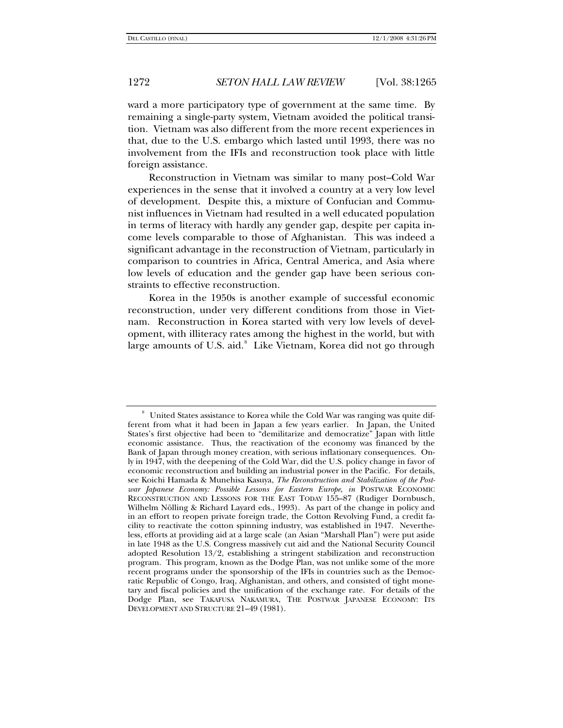ward a more participatory type of government at the same time. By remaining a single-party system, Vietnam avoided the political transition. Vietnam was also different from the more recent experiences in that, due to the U.S. embargo which lasted until 1993, there was no involvement from the IFIs and reconstruction took place with little foreign assistance.

Reconstruction in Vietnam was similar to many post–Cold War experiences in the sense that it involved a country at a very low level of development. Despite this, a mixture of Confucian and Communist influences in Vietnam had resulted in a well educated population in terms of literacy with hardly any gender gap, despite per capita income levels comparable to those of Afghanistan. This was indeed a significant advantage in the reconstruction of Vietnam, particularly in comparison to countries in Africa, Central America, and Asia where low levels of education and the gender gap have been serious constraints to effective reconstruction.

Korea in the 1950s is another example of successful economic reconstruction, under very different conditions from those in Vietnam. Reconstruction in Korea started with very low levels of development, with illiteracy rates among the highest in the world, but with large amounts of U.S. aid.<sup>[8](#page-7-0)</sup> Like Vietnam, Korea did not go through

<span id="page-7-0"></span><sup>8</sup> United States assistance to Korea while the Cold War was ranging was quite different from what it had been in Japan a few years earlier. In Japan, the United States's first objective had been to "demilitarize and democratize" Japan with little economic assistance. Thus, the reactivation of the economy was financed by the Bank of Japan through money creation, with serious inflationary consequences. Only in 1947, with the deepening of the Cold War, did the U.S. policy change in favor of economic reconstruction and building an industrial power in the Pacific. For details, see Koichi Hamada & Munehisa Kasuya, *The Reconstruction and Stabilization of the Postwar Japanese Economy: Possible Lessons for Eastern Europe*, *in* POSTWAR ECONOMIC RECONSTRUCTION AND LESSONS FOR THE EAST TODAY 155–87 (Rudiger Dornbusch, Wilhelm Nölling & Richard Layard eds., 1993). As part of the change in policy and in an effort to reopen private foreign trade, the Cotton Revolving Fund, a credit facility to reactivate the cotton spinning industry, was established in 1947. Nevertheless, efforts at providing aid at a large scale (an Asian "Marshall Plan") were put aside in late 1948 as the U.S. Congress massively cut aid and the National Security Council adopted Resolution 13/2, establishing a stringent stabilization and reconstruction program. This program, known as the Dodge Plan, was not unlike some of the more recent programs under the sponsorship of the IFIs in countries such as the Democratic Republic of Congo, Iraq, Afghanistan, and others, and consisted of tight monetary and fiscal policies and the unification of the exchange rate. For details of the Dodge Plan, see TAKAFUSA NAKAMURA, THE POSTWAR JAPANESE ECONOMY: ITS DEVELOPMENT AND STRUCTURE 21–49 (1981).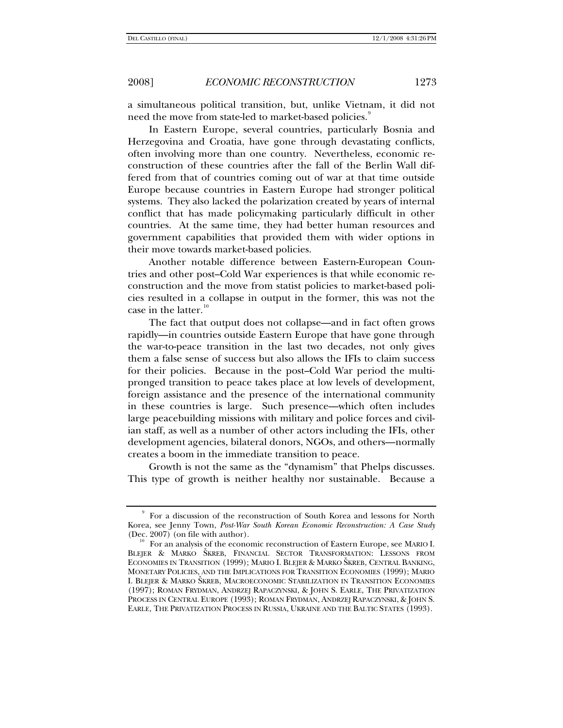a simultaneous political transition, but, unlike Vietnam, it did not need the move from state-led to market-based policies.<sup>[9](#page-8-0)</sup>

In Eastern Europe, several countries, particularly Bosnia and Herzegovina and Croatia, have gone through devastating conflicts, often involving more than one country. Nevertheless, economic reconstruction of these countries after the fall of the Berlin Wall differed from that of countries coming out of war at that time outside Europe because countries in Eastern Europe had stronger political systems. They also lacked the polarization created by years of internal conflict that has made policymaking particularly difficult in other countries. At the same time, they had better human resources and government capabilities that provided them with wider options in their move towards market-based policies.

Another notable difference between Eastern-European Countries and other post–Cold War experiences is that while economic reconstruction and the move from statist policies to market-based policies resulted in a collapse in output in the former, this was not the case in the latter.<sup>[10](#page-8-1)</sup>

The fact that output does not collapse—and in fact often grows rapidly—in countries outside Eastern Europe that have gone through the war-to-peace transition in the last two decades, not only gives them a false sense of success but also allows the IFIs to claim success for their policies. Because in the post–Cold War period the multipronged transition to peace takes place at low levels of development, foreign assistance and the presence of the international community in these countries is large. Such presence—which often includes large peacebuilding missions with military and police forces and civilian staff, as well as a number of other actors including the IFIs, other development agencies, bilateral donors, NGOs, and others—normally creates a boom in the immediate transition to peace.

Growth is not the same as the "dynamism" that Phelps discusses. This type of growth is neither healthy nor sustainable. Because a

<span id="page-8-0"></span><sup>9</sup> For a discussion of the reconstruction of South Korea and lessons for North Korea, see Jenny Town, *Post-War South Korean Economic Reconstruction: A Case Study* (Dec. 2007) (on file with author).<br><sup>10</sup> For an analysis of the economic reconstruction of Eastern Europe, see MARIO I.

<span id="page-8-1"></span>BLEJER & MARKO ŠKREB, FINANCIAL SECTOR TRANSFORMATION: LESSONS FROM ECONOMIES IN TRANSITION (1999); MARIO I. BLEJER & MARKO ŠKREB, CENTRAL BANKING, MONETARY POLICIES, AND THE IMPLICATIONS FOR TRANSITION ECONOMIES (1999); MARIO I. BLEJER & MARKO ŠKREB, MACROECONOMIC STABILIZATION IN TRANSITION ECONOMIES (1997); ROMAN FRYDMAN, ANDRZEJ RAPACZYNSKI, & JOHN S. EARLE, THE PRIVATIZATION PROCESS IN CENTRAL EUROPE (1993); ROMAN FRYDMAN, ANDRZEJ RAPACZYNSKI, & JOHN S. EARLE, THE PRIVATIZATION PROCESS IN RUSSIA, UKRAINE AND THE BALTIC STATES (1993).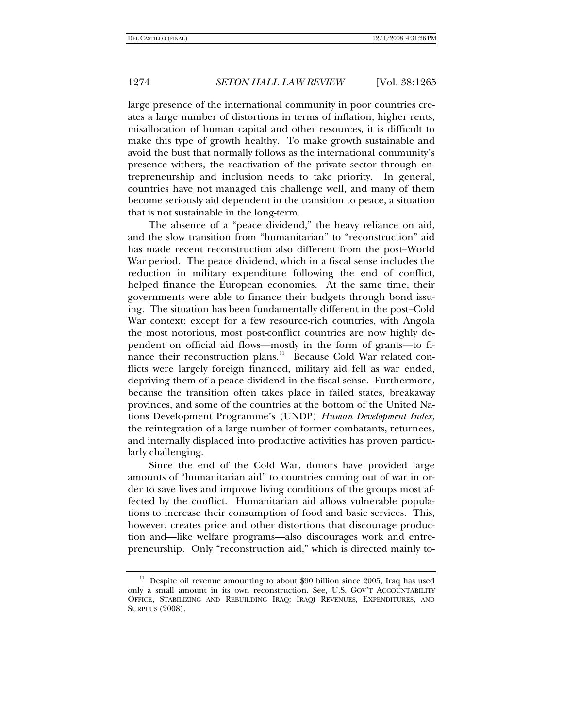large presence of the international community in poor countries creates a large number of distortions in terms of inflation, higher rents, misallocation of human capital and other resources, it is difficult to make this type of growth healthy. To make growth sustainable and avoid the bust that normally follows as the international community's presence withers, the reactivation of the private sector through entrepreneurship and inclusion needs to take priority. In general, countries have not managed this challenge well, and many of them become seriously aid dependent in the transition to peace, a situation that is not sustainable in the long-term.

The absence of a "peace dividend," the heavy reliance on aid, and the slow transition from "humanitarian" to "reconstruction" aid has made recent reconstruction also different from the post–World War period. The peace dividend, which in a fiscal sense includes the reduction in military expenditure following the end of conflict, helped finance the European economies. At the same time, their governments were able to finance their budgets through bond issuing. The situation has been fundamentally different in the post–Cold War context: except for a few resource-rich countries, with Angola the most notorious, most post-conflict countries are now highly dependent on official aid flows—mostly in the form of grants—to fi-nance their reconstruction plans.<sup>[11](#page-9-0)</sup> Because Cold War related conflicts were largely foreign financed, military aid fell as war ended, depriving them of a peace dividend in the fiscal sense. Furthermore, because the transition often takes place in failed states, breakaway provinces, and some of the countries at the bottom of the United Nations Development Programme's (UNDP) *Human Development Index*, the reintegration of a large number of former combatants, returnees, and internally displaced into productive activities has proven particularly challenging.

Since the end of the Cold War, donors have provided large amounts of "humanitarian aid" to countries coming out of war in order to save lives and improve living conditions of the groups most affected by the conflict. Humanitarian aid allows vulnerable populations to increase their consumption of food and basic services. This, however, creates price and other distortions that discourage production and—like welfare programs—also discourages work and entrepreneurship. Only "reconstruction aid," which is directed mainly to-

<span id="page-9-0"></span> $11$  Despite oil revenue amounting to about \$90 billion since 2005, Iraq has used only a small amount in its own reconstruction. See, U.S. GOV'T ACCOUNTABILITY OFFICE, STABILIZING AND REBUILDING IRAQ: IRAQI REVENUES, EXPENDITURES, AND SURPLUS (2008).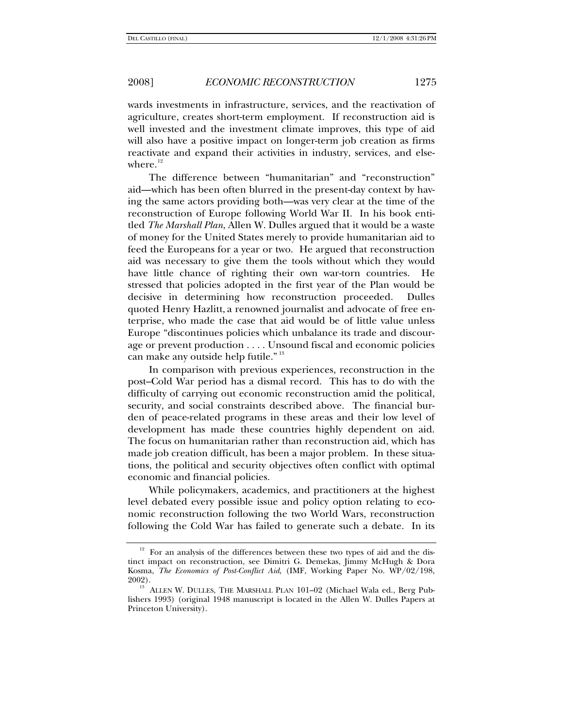wards investments in infrastructure, services, and the reactivation of agriculture, creates short-term employment. If reconstruction aid is well invested and the investment climate improves, this type of aid will also have a positive impact on longer-term job creation as firms reactivate and expand their activities in industry, services, and elsewhere. $12$ 

The difference between "humanitarian" and "reconstruction" aid—which has been often blurred in the present-day context by having the same actors providing both—was very clear at the time of the reconstruction of Europe following World War II. In his book entitled *The Marshall Plan*, Allen W. Dulles argued that it would be a waste of money for the United States merely to provide humanitarian aid to feed the Europeans for a year or two. He argued that reconstruction aid was necessary to give them the tools without which they would have little chance of righting their own war-torn countries. He stressed that policies adopted in the first year of the Plan would be decisive in determining how reconstruction proceeded. Dulles quoted Henry Hazlitt, a renowned journalist and advocate of free enterprise, who made the case that aid would be of little value unless Europe "discontinues policies which unbalance its trade and discourage or prevent production . . . . Unsound fiscal and economic policies can make any outside help futile." [13](#page-10-1)

In comparison with previous experiences, reconstruction in the post–Cold War period has a dismal record. This has to do with the difficulty of carrying out economic reconstruction amid the political, security, and social constraints described above. The financial burden of peace-related programs in these areas and their low level of development has made these countries highly dependent on aid. The focus on humanitarian rather than reconstruction aid, which has made job creation difficult, has been a major problem. In these situations, the political and security objectives often conflict with optimal economic and financial policies.

While policymakers, academics, and practitioners at the highest level debated every possible issue and policy option relating to economic reconstruction following the two World Wars, reconstruction following the Cold War has failed to generate such a debate. In its

<span id="page-10-0"></span> $12$  For an analysis of the differences between these two types of aid and the distinct impact on reconstruction, see Dimitri G. Demekas, Jimmy McHugh & Dora Kosma, *The Economics of Post-Conflict Aid*, (IMF, Working Paper No. WP/02/198,

<span id="page-10-1"></span>ALLEN W. DULLES, THE MARSHALL PLAN 101-02 (Michael Wala ed., Berg Publishers 1993) (original 1948 manuscript is located in the Allen W. Dulles Papers at Princeton University).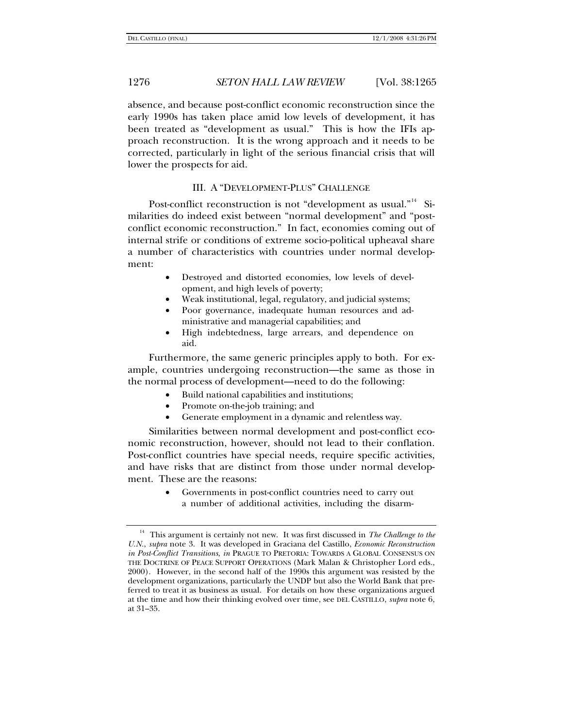absence, and because post-conflict economic reconstruction since the early 1990s has taken place amid low levels of development, it has been treated as "development as usual." This is how the IFIs approach reconstruction. It is the wrong approach and it needs to be corrected, particularly in light of the serious financial crisis that will lower the prospects for aid.

## III. A "DEVELOPMENT-PLUS" CHALLENGE

Post-conflict reconstruction is not "development as usual."<sup>[14](#page-11-0)</sup> Similarities do indeed exist between "normal development" and "postconflict economic reconstruction." In fact, economies coming out of internal strife or conditions of extreme socio-political upheaval share a number of characteristics with countries under normal development:

- Destroyed and distorted economies, low levels of development, and high levels of poverty;
- Weak institutional, legal, regulatory, and judicial systems;
- Poor governance, inadequate human resources and administrative and managerial capabilities; and
- High indebtedness, large arrears, and dependence on aid.

Furthermore, the same generic principles apply to both. For example, countries undergoing reconstruction—the same as those in the normal process of development—need to do the following:

- Build national capabilities and institutions;
- Promote on-the-job training; and
- Generate employment in a dynamic and relentless way.

Similarities between normal development and post-conflict economic reconstruction, however, should not lead to their conflation. Post-conflict countries have special needs, require specific activities, and have risks that are distinct from those under normal development. These are the reasons:

> • Governments in post-conflict countries need to carry out a number of additional activities, including the disarm-

<span id="page-11-0"></span><sup>14</sup> This argument is certainly not new. It was first discussed in *The Challenge to the U.N.*, *supra* note 3. It was developed in Graciana del Castillo, *Economic Reconstruction in Post-Conflict Transitions*, *in* PRAGUE TO PRETORIA: TOWARDS A GLOBAL CONSENSUS ON THE DOCTRINE OF PEACE SUPPORT OPERATIONS (Mark Malan & Christopher Lord eds., 2000). However, in the second half of the 1990s this argument was resisted by the development organizations, particularly the UNDP but also the World Bank that preferred to treat it as business as usual. For details on how these organizations argued at the time and how their thinking evolved over time, see DEL CASTILLO, *supra* note 6, at 31–35.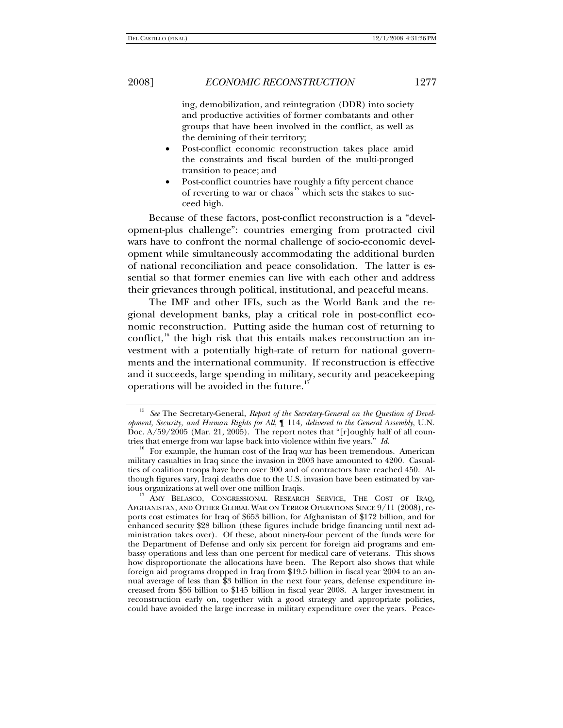ing, demobilization, and reintegration (DDR) into society and productive activities of former combatants and other groups that have been involved in the conflict, as well as the demining of their territory;

- Post-conflict economic reconstruction takes place amid the constraints and fiscal burden of the multi-pronged transition to peace; and
- Post-conflict countries have roughly a fifty percent chance of reverting to war or chaos<sup>[15](#page-12-0)</sup> which sets the stakes to succeed high.

Because of these factors, post-conflict reconstruction is a "development-plus challenge": countries emerging from protracted civil wars have to confront the normal challenge of socio-economic development while simultaneously accommodating the additional burden of national reconciliation and peace consolidation. The latter is essential so that former enemies can live with each other and address their grievances through political, institutional, and peaceful means.

The IMF and other IFIs, such as the World Bank and the regional development banks, play a critical role in post-conflict economic reconstruction. Putting aside the human cost of returning to conflict, $16$  the high risk that this entails makes reconstruction an investment with a potentially high-rate of return for national governments and the international community. If reconstruction is effective and it succeeds, large spending in military, security and peacekeeping operations will be avoided in the future.<sup>1</sup>

<span id="page-12-0"></span>See The Secretary-General, *Report of the Secretary-General on the Question of Development, Security, and Human Rights for All*, ¶ 114, *delivered to the General Assembly*, U.N. Doc.  $A/59/2005$  (Mar. 21, 2005). The report notes that "[r]oughly half of all countries that emerge from war lapse back into violence within five years." Id.

<span id="page-12-1"></span><sup>&</sup>lt;sup>16</sup> For example, the human cost of the Iraq war has been tremendous. American military casualties in Iraq since the invasion in 2003 have amounted to 4200. Casualties of coalition troops have been over 300 and of contractors have reached 450. Although figures vary, Iraqi deaths due to the U.S. invasion have been estimated by var-

<span id="page-12-2"></span><sup>&</sup>lt;sup>17</sup> AMY BELASCO, CONGRESSIONAL RESEARCH SERVICE, THE COST OF IRAQ, AFGHANISTAN, AND OTHER GLOBAL WAR ON TERROR OPERATIONS SINCE 9/11 (2008), reports cost estimates for Iraq of \$653 billion, for Afghanistan of \$172 billion, and for enhanced security \$28 billion (these figures include bridge financing until next administration takes over). Of these, about ninety-four percent of the funds were for the Department of Defense and only six percent for foreign aid programs and embassy operations and less than one percent for medical care of veterans. This shows how disproportionate the allocations have been. The Report also shows that while foreign aid programs dropped in Iraq from \$19.5 billion in fiscal year 2004 to an annual average of less than \$3 billion in the next four years, defense expenditure increased from \$56 billion to \$145 billion in fiscal year 2008. A larger investment in reconstruction early on, together with a good strategy and appropriate policies, could have avoided the large increase in military expenditure over the years. Peace-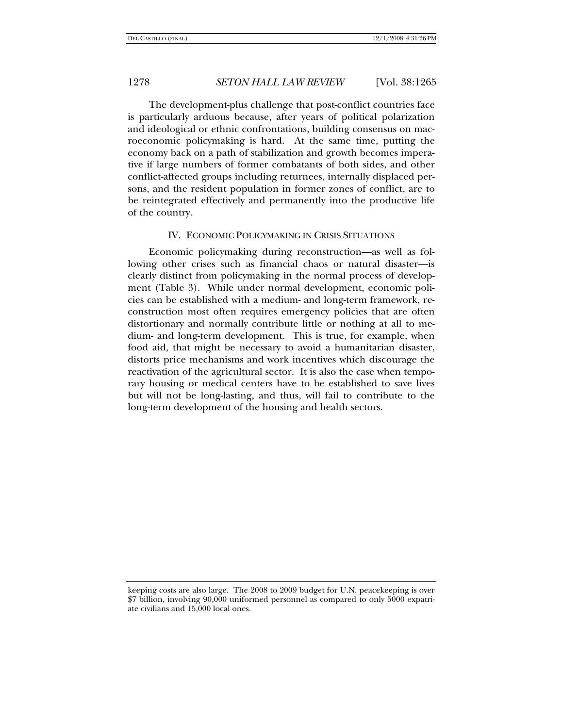The development-plus challenge that post-conflict countries face is particularly arduous because, after years of political polarization and ideological or ethnic confrontations, building consensus on macroeconomic policymaking is hard. At the same time, putting the economy back on a path of stabilization and growth becomes imperative if large numbers of former combatants of both sides, and other conflict-affected groups including returnees, internally displaced persons, and the resident population in former zones of conflict, are to be reintegrated effectively and permanently into the productive life of the country.

### IV. ECONOMIC POLICYMAKING IN CRISIS SITUATIONS

Economic policymaking during reconstruction—as well as following other crises such as financial chaos or natural disaster—is clearly distinct from policymaking in the normal process of development (Table 3). While under normal development, economic policies can be established with a medium- and long-term framework, reconstruction most often requires emergency policies that are often distortionary and normally contribute little or nothing at all to medium- and long-term development. This is true, for example, when food aid, that might be necessary to avoid a humanitarian disaster, distorts price mechanisms and work incentives which discourage the reactivation of the agricultural sector. It is also the case when temporary housing or medical centers have to be established to save lives but will not be long-lasting, and thus, will fail to contribute to the long-term development of the housing and health sectors.

keeping costs are also large. The 2008 to 2009 budget for U.N. peacekeeping is over \$7 billion, involving 90,000 uniformed personnel as compared to only 5000 expatriate civilians and 15,000 local ones.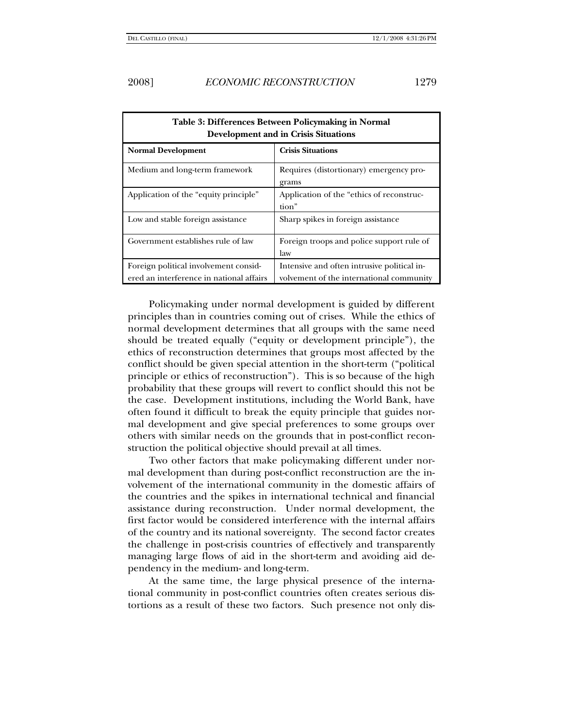| Table 3: Differences Between Policymaking in Normal<br><b>Development and in Crisis Situations</b> |                                                                                         |  |  |  |
|----------------------------------------------------------------------------------------------------|-----------------------------------------------------------------------------------------|--|--|--|
| <b>Normal Development</b>                                                                          | <b>Crisis Situations</b>                                                                |  |  |  |
| Medium and long-term framework                                                                     | Requires (distortionary) emergency pro-<br>grams                                        |  |  |  |
| Application of the "equity principle"                                                              | Application of the "ethics of reconstruc-<br>tion"                                      |  |  |  |
| Low and stable foreign assistance                                                                  | Sharp spikes in foreign assistance                                                      |  |  |  |
| Government establishes rule of law                                                                 | Foreign troops and police support rule of<br>law                                        |  |  |  |
| Foreign political involvement consid-<br>ered an interference in national affairs                  | Intensive and often intrusive political in-<br>volvement of the international community |  |  |  |

Policymaking under normal development is guided by different principles than in countries coming out of crises. While the ethics of normal development determines that all groups with the same need should be treated equally ("equity or development principle"), the ethics of reconstruction determines that groups most affected by the conflict should be given special attention in the short-term ("political principle or ethics of reconstruction"). This is so because of the high probability that these groups will revert to conflict should this not be the case. Development institutions, including the World Bank, have often found it difficult to break the equity principle that guides normal development and give special preferences to some groups over others with similar needs on the grounds that in post-conflict reconstruction the political objective should prevail at all times.

Two other factors that make policymaking different under normal development than during post-conflict reconstruction are the involvement of the international community in the domestic affairs of the countries and the spikes in international technical and financial assistance during reconstruction. Under normal development, the first factor would be considered interference with the internal affairs of the country and its national sovereignty. The second factor creates the challenge in post-crisis countries of effectively and transparently managing large flows of aid in the short-term and avoiding aid dependency in the medium- and long-term.

At the same time, the large physical presence of the international community in post-conflict countries often creates serious distortions as a result of these two factors. Such presence not only dis-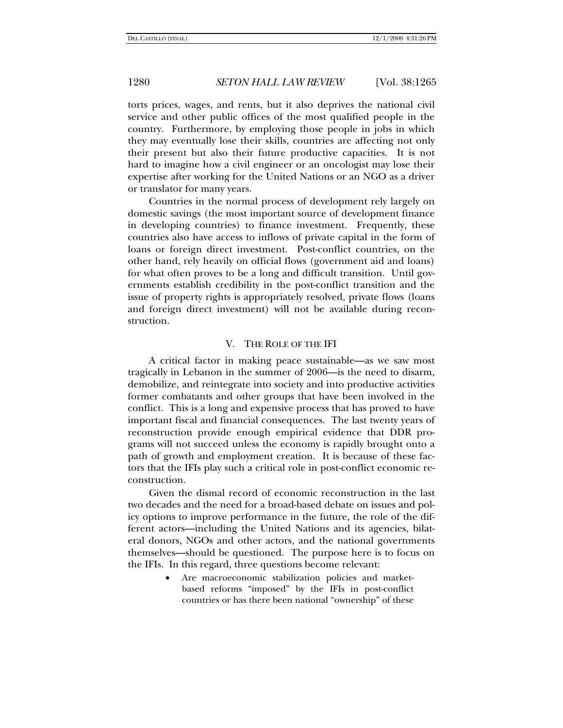torts prices, wages, and rents, but it also deprives the national civil service and other public offices of the most qualified people in the country. Furthermore, by employing those people in jobs in which they may eventually lose their skills, countries are affecting not only their present but also their future productive capacities. It is not hard to imagine how a civil engineer or an oncologist may lose their expertise after working for the United Nations or an NGO as a driver or translator for many years.

Countries in the normal process of development rely largely on domestic savings (the most important source of development finance in developing countries) to finance investment. Frequently, these countries also have access to inflows of private capital in the form of loans or foreign direct investment. Post-conflict countries, on the other hand, rely heavily on official flows (government aid and loans) for what often proves to be a long and difficult transition. Until governments establish credibility in the post-conflict transition and the issue of property rights is appropriately resolved, private flows (loans and foreign direct investment) will not be available during reconstruction.

### V. THE ROLE OF THE IFI

A critical factor in making peace sustainable—as we saw most tragically in Lebanon in the summer of 2006—is the need to disarm, demobilize, and reintegrate into society and into productive activities former combatants and other groups that have been involved in the conflict. This is a long and expensive process that has proved to have important fiscal and financial consequences. The last twenty years of reconstruction provide enough empirical evidence that DDR programs will not succeed unless the economy is rapidly brought onto a path of growth and employment creation. It is because of these factors that the IFIs play such a critical role in post-conflict economic reconstruction.

Given the dismal record of economic reconstruction in the last two decades and the need for a broad-based debate on issues and policy options to improve performance in the future, the role of the different actors—including the United Nations and its agencies, bilateral donors, NGOs and other actors, and the national governments themselves—should be questioned. The purpose here is to focus on the IFIs. In this regard, three questions become relevant:

> • Are macroeconomic stabilization policies and marketbased reforms "imposed" by the IFIs in post-conflict countries or has there been national "ownership" of these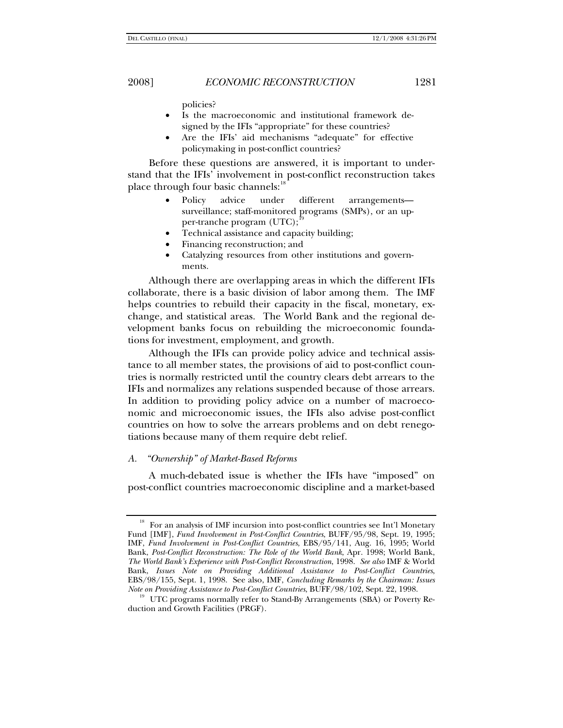policies?

- Is the macroeconomic and institutional framework designed by the IFIs "appropriate" for these countries?
- Are the IFIs' aid mechanisms "adequate" for effective policymaking in post-conflict countries?

Before these questions are answered, it is important to understand that the IFIs' involvement in post-conflict reconstruction takes place through four basic channels:<sup>[18](#page-16-0)</sup>

- Policy advice under different arrangements surveillance; staff-monitored programs (SMPs), or an upper-tranche program  $(UTC)$ ;<sup>[19](#page-16-1)</sup>
- Technical assistance and capacity building;
- Financing reconstruction; and
- Catalyzing resources from other institutions and governments.

Although there are overlapping areas in which the different IFIs collaborate, there is a basic division of labor among them. The IMF helps countries to rebuild their capacity in the fiscal, monetary, exchange, and statistical areas. The World Bank and the regional development banks focus on rebuilding the microeconomic foundations for investment, employment, and growth.

Although the IFIs can provide policy advice and technical assistance to all member states, the provisions of aid to post-conflict countries is normally restricted until the country clears debt arrears to the IFIs and normalizes any relations suspended because of those arrears. In addition to providing policy advice on a number of macroeconomic and microeconomic issues, the IFIs also advise post-conflict countries on how to solve the arrears problems and on debt renegotiations because many of them require debt relief.

### *A. "Ownership" of Market-Based Reforms*

A much-debated issue is whether the IFIs have "imposed" on post-conflict countries macroeconomic discipline and a market-based

<span id="page-16-0"></span><sup>&</sup>lt;sup>18</sup> For an analysis of IMF incursion into post-conflict countries see Int'l Monetary Fund [IMF], *Fund Involvement in Post-Conflict Countries*, BUFF/95/98, Sept. 19, 1995; IMF, *Fund Involvement in Post-Conflict Countries*, EBS/95/141, Aug. 16, 1995; World Bank, *Post-Conflict Reconstruction: The Role of the World Bank*, Apr. 1998; World Bank, *The World Bank's Experience with Post-Conflict Reconstruction*, 1998. *See also* IMF & World Bank, *Issues Note on Providing Additional Assistance to Post-Conflict Countries*, EBS/98/155, Sept. 1, 1998. See also, IMF, *Concluding Remarks by the Chairman: Issues Note on Providing Assistance to Post-Conflict Countries*, BUFF/98/102, Sept. 22, 1998.<br><sup>19</sup> UTC programs normally refer to Stand-By Arrangements (SBA) or Poverty Re-

<span id="page-16-1"></span>duction and Growth Facilities (PRGF).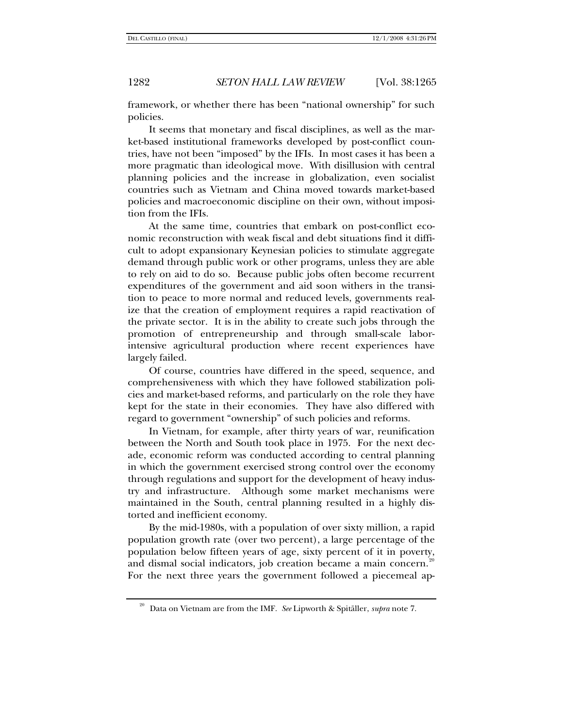framework, or whether there has been "national ownership" for such policies.

It seems that monetary and fiscal disciplines, as well as the market-based institutional frameworks developed by post-conflict countries, have not been "imposed" by the IFIs. In most cases it has been a more pragmatic than ideological move. With disillusion with central planning policies and the increase in globalization, even socialist countries such as Vietnam and China moved towards market-based policies and macroeconomic discipline on their own, without imposition from the IFIs.

At the same time, countries that embark on post-conflict economic reconstruction with weak fiscal and debt situations find it difficult to adopt expansionary Keynesian policies to stimulate aggregate demand through public work or other programs, unless they are able to rely on aid to do so. Because public jobs often become recurrent expenditures of the government and aid soon withers in the transition to peace to more normal and reduced levels, governments realize that the creation of employment requires a rapid reactivation of the private sector. It is in the ability to create such jobs through the promotion of entrepreneurship and through small-scale laborintensive agricultural production where recent experiences have largely failed.

Of course, countries have differed in the speed, sequence, and comprehensiveness with which they have followed stabilization policies and market-based reforms, and particularly on the role they have kept for the state in their economies. They have also differed with regard to government "ownership" of such policies and reforms.

In Vietnam, for example, after thirty years of war, reunification between the North and South took place in 1975. For the next decade, economic reform was conducted according to central planning in which the government exercised strong control over the economy through regulations and support for the development of heavy industry and infrastructure. Although some market mechanisms were maintained in the South, central planning resulted in a highly distorted and inefficient economy.

By the mid-1980s, with a population of over sixty million, a rapid population growth rate (over two percent), a large percentage of the population below fifteen years of age, sixty percent of it in poverty, and dismal social indicators, job creation became a main concern.<sup>[20](#page-17-0)</sup> For the next three years the government followed a piecemeal ap-

<span id="page-17-0"></span><sup>20</sup> Data on Vietnam are from the IMF. *See* Lipworth & Spitäller, *supra* note 7.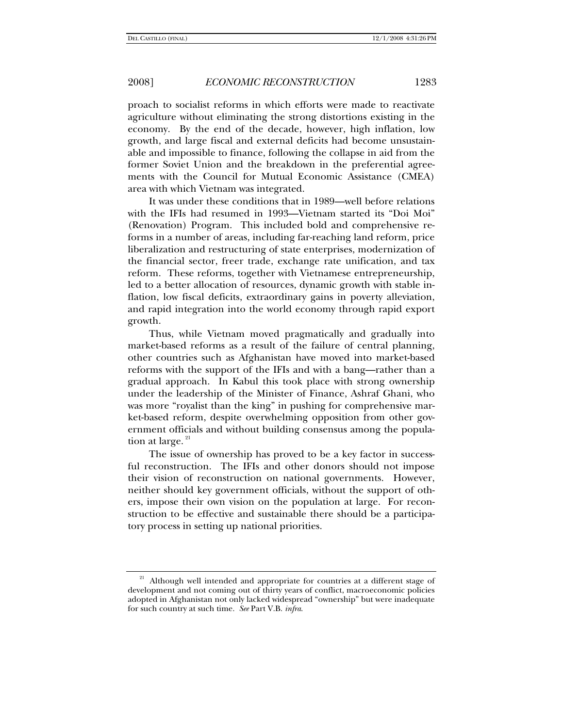proach to socialist reforms in which efforts were made to reactivate agriculture without eliminating the strong distortions existing in the economy. By the end of the decade, however, high inflation, low growth, and large fiscal and external deficits had become unsustainable and impossible to finance, following the collapse in aid from the former Soviet Union and the breakdown in the preferential agreements with the Council for Mutual Economic Assistance (CMEA) area with which Vietnam was integrated.

It was under these conditions that in 1989—well before relations with the IFIs had resumed in 1993—Vietnam started its "Doi Moi" (Renovation) Program. This included bold and comprehensive reforms in a number of areas, including far-reaching land reform, price liberalization and restructuring of state enterprises, modernization of the financial sector, freer trade, exchange rate unification, and tax reform. These reforms, together with Vietnamese entrepreneurship, led to a better allocation of resources, dynamic growth with stable inflation, low fiscal deficits, extraordinary gains in poverty alleviation, and rapid integration into the world economy through rapid export growth.

Thus, while Vietnam moved pragmatically and gradually into market-based reforms as a result of the failure of central planning, other countries such as Afghanistan have moved into market-based reforms with the support of the IFIs and with a bang—rather than a gradual approach. In Kabul this took place with strong ownership under the leadership of the Minister of Finance, Ashraf Ghani, who was more "royalist than the king" in pushing for comprehensive market-based reform, despite overwhelming opposition from other government officials and without building consensus among the population at large. $21$ 

The issue of ownership has proved to be a key factor in successful reconstruction. The IFIs and other donors should not impose their vision of reconstruction on national governments. However, neither should key government officials, without the support of others, impose their own vision on the population at large. For reconstruction to be effective and sustainable there should be a participatory process in setting up national priorities.

<span id="page-18-0"></span><sup>&</sup>lt;sup>21</sup> Although well intended and appropriate for countries at a different stage of development and not coming out of thirty years of conflict, macroeconomic policies adopted in Afghanistan not only lacked widespread "ownership" but were inadequate for such country at such time. *See* Part V.B. *infra*.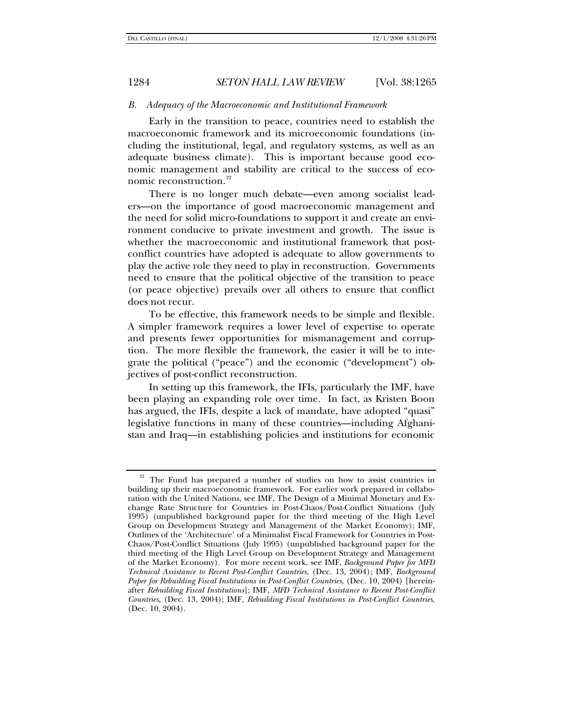### *B. Adequacy of the Macroeconomic and Institutional Framework*

Early in the transition to peace, countries need to establish the macroeconomic framework and its microeconomic foundations (including the institutional, legal, and regulatory systems, as well as an adequate business climate). This is important because good economic management and stability are critical to the success of eco-nomic reconstruction.<sup>[22](#page-19-0)</sup>

There is no longer much debate—even among socialist leaders—on the importance of good macroeconomic management and the need for solid micro-foundations to support it and create an environment conducive to private investment and growth. The issue is whether the macroeconomic and institutional framework that postconflict countries have adopted is adequate to allow governments to play the active role they need to play in reconstruction. Governments need to ensure that the political objective of the transition to peace (or peace objective) prevails over all others to ensure that conflict does not recur.

To be effective, this framework needs to be simple and flexible. A simpler framework requires a lower level of expertise to operate and presents fewer opportunities for mismanagement and corruption. The more flexible the framework, the easier it will be to integrate the political ("peace") and the economic ("development") objectives of post-conflict reconstruction.

In setting up this framework, the IFIs, particularly the IMF, have been playing an expanding role over time. In fact, as Kristen Boon has argued, the IFIs, despite a lack of mandate, have adopted "quasi" legislative functions in many of these countries—including Afghanistan and Iraq—in establishing policies and institutions for economic

<span id="page-19-0"></span> $22$  The Fund has prepared a number of studies on how to assist countries in building up their macroeconomic framework. For earlier work prepared in collaboration with the United Nations, see IMF, The Design of a Minimal Monetary and Exchange Rate Structure for Countries in Post-Chaos/Post-Conflict Situations (July 1995) (unpublished background paper for the third meeting of the High Level Group on Development Strategy and Management of the Market Economy); IMF, Outlines of the 'Architecture' of a Minimalist Fiscal Framework for Countries in Post-Chaos/Post-Conflict Situations (July 1995) (unpublished background paper for the third meeting of the High Level Group on Development Strategy and Management of the Market Economy). For more recent work, see IMF, *Background Paper for MFD Technical Assistance to Recent Post-Conflict Countries*, (Dec. 13, 2004); IMF, *Background Paper for Rebuilding Fiscal Institutions in Post-Conflict Countries*, (Dec. 10, 2004) [hereinafter *Rebuilding Fiscal Institutions*]; IMF, *MFD Technical Assistance to Recent Post-Conflict Countries*, (Dec. 13, 2004); IMF, *Rebuilding Fiscal Institutions in Post-Conflict Countries*, (Dec. 10, 2004).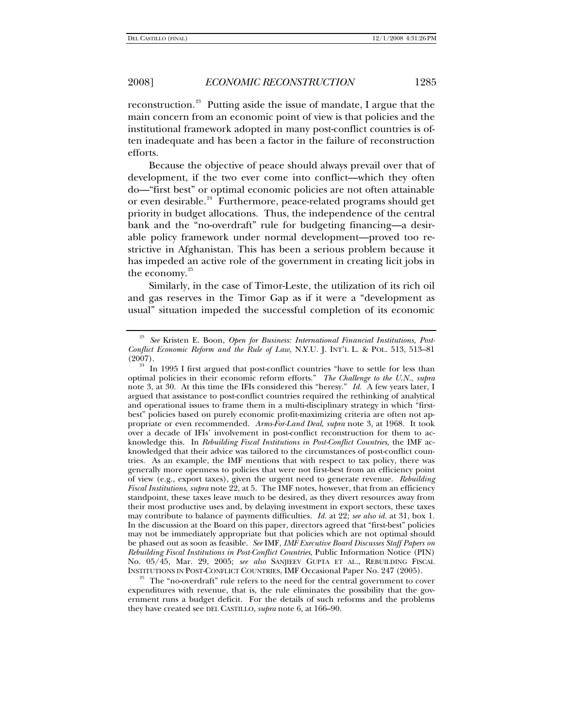reconstruction.<sup>[23](#page-20-0)</sup> Putting aside the issue of mandate, I argue that the main concern from an economic point of view is that policies and the institutional framework adopted in many post-conflict countries is often inadequate and has been a factor in the failure of reconstruction efforts.

Because the objective of peace should always prevail over that of development, if the two ever come into conflict—which they often do—"first best" or optimal economic policies are not often attainable or even desirable.<sup>[24](#page-20-1)</sup> Furthermore, peace-related programs should get priority in budget allocations. Thus, the independence of the central bank and the "no-overdraft" rule for budgeting financing—a desirable policy framework under normal development—proved too restrictive in Afghanistan. This has been a serious problem because it has impeded an active role of the government in creating licit jobs in the economy.<sup>[25](#page-20-2)</sup>

Similarly, in the case of Timor-Leste, the utilization of its rich oil and gas reserves in the Timor Gap as if it were a "development as usual" situation impeded the successful completion of its economic

<span id="page-20-2"></span>The "no-overdraft" rule refers to the need for the central government to cover expenditures with revenue, that is, the rule eliminates the possibility that the government runs a budget deficit. For the details of such reforms and the problems they have created see DEL CASTILLO, *supra* note 6, at 166–90.

<span id="page-20-0"></span><sup>23</sup> *See* Kristen E. Boon, *Open for Business: International Financial Institutions, Post-Conflict Economic Reform and the Rule of Law*, N.Y.U. J. INT'L L. & POL. 513, 513–81

<span id="page-20-1"></span> $24$  In 1995 I first argued that post-conflict countries "have to settle for less than optimal policies in their economic reform efforts." *The Challenge to the U.N.*, *supra* note 3, at 30. At this time the IFIs considered this "heresy." *Id.* A few years later, I argued that assistance to post-conflict countries required the rethinking of analytical and operational issues to frame them in a multi-disciplinary strategy in which "firstbest" policies based on purely economic profit-maximizing criteria are often not appropriate or even recommended. *Arms-For-Land Deal*, *supra* note 3, at 1968. It took over a decade of IFIs' involvement in post-conflict reconstruction for them to acknowledge this. In *Rebuilding Fiscal Institutions in Post-Conflict Countries*, the IMF acknowledged that their advice was tailored to the circumstances of post-conflict countries. As an example, the IMF mentions that with respect to tax policy, there was generally more openness to policies that were not first-best from an efficiency point of view (e.g., export taxes), given the urgent need to generate revenue. *Rebuilding Fiscal Institutions*, *supra* note 22, at 5. The IMF notes, however, that from an efficiency standpoint, these taxes leave much to be desired, as they divert resources away from their most productive uses and, by delaying investment in export sectors, these taxes may contribute to balance of payments difficulties. *Id.* at 22; *see also id.* at 31, box 1. In the discussion at the Board on this paper, directors agreed that "first-best" policies may not be immediately appropriate but that policies which are not optimal should be phased out as soon as feasible. *See* IMF, *IMF Executive Board Discusses Staff Papers on Rebuilding Fiscal Institutions in Post-Conflict Countries*, Public Information Notice (PIN) No. 05/45, Mar. 29, 2005; *see also* SANJIEEV GUPTA ET AL., REBUILDING FISCAL INSTITUTIONS IN POST-CONFLICT COUNTRIES, IMF Occasional Paper No. 247 (2005).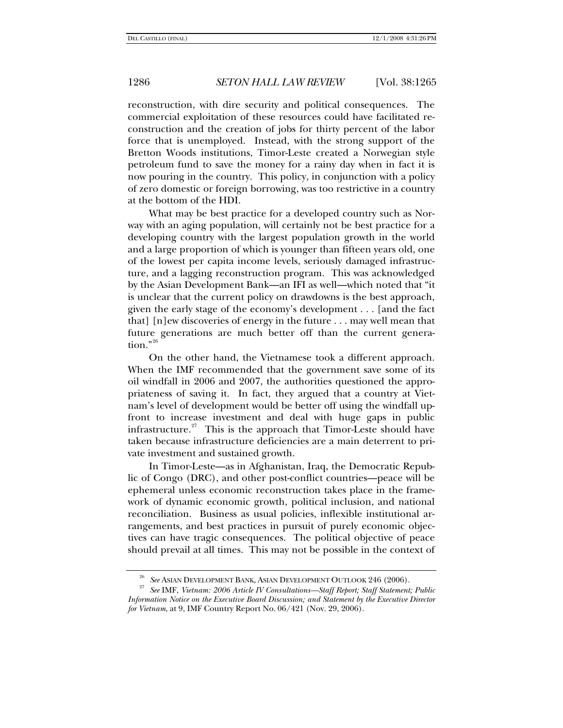reconstruction, with dire security and political consequences. The commercial exploitation of these resources could have facilitated reconstruction and the creation of jobs for thirty percent of the labor force that is unemployed. Instead, with the strong support of the Bretton Woods institutions, Timor-Leste created a Norwegian style petroleum fund to save the money for a rainy day when in fact it is now pouring in the country. This policy, in conjunction with a policy of zero domestic or foreign borrowing, was too restrictive in a country at the bottom of the HDI.

What may be best practice for a developed country such as Norway with an aging population, will certainly not be best practice for a developing country with the largest population growth in the world and a large proportion of which is younger than fifteen years old, one of the lowest per capita income levels, seriously damaged infrastructure, and a lagging reconstruction program. This was acknowledged by the Asian Development Bank—an IFI as well—which noted that "it is unclear that the current policy on drawdowns is the best approach, given the early stage of the economy's development . . . [and the fact that] [n]ew discoveries of energy in the future . . . may well mean that future generations are much better off than the current genera-tion."<sup>[26](#page-21-0)</sup>

On the other hand, the Vietnamese took a different approach. When the IMF recommended that the government save some of its oil windfall in 2006 and 2007, the authorities questioned the appropriateness of saving it. In fact, they argued that a country at Vietnam's level of development would be better off using the windfall upfront to increase investment and deal with huge gaps in public infrastructure. $27$  This is the approach that Timor-Leste should have taken because infrastructure deficiencies are a main deterrent to private investment and sustained growth.

In Timor-Leste—as in Afghanistan, Iraq, the Democratic Republic of Congo (DRC), and other post-conflict countries—peace will be ephemeral unless economic reconstruction takes place in the framework of dynamic economic growth, political inclusion, and national reconciliation. Business as usual policies, inflexible institutional arrangements, and best practices in pursuit of purely economic objectives can have tragic consequences. The political objective of peace should prevail at all times. This may not be possible in the context of

<span id="page-21-1"></span><span id="page-21-0"></span><sup>26</sup> *See* ASIAN DEVELOPMENT BANK, ASIAN DEVELOPMENT OUTLOOK 246 (2006). 27 *See* IMF, *Vietnam: 2006 Article IV Consultations—Staff Report; Staff Statement; Public Information Notice on the Executive Board Discussion; and Statement by the Executive Director for Vietnam*, at 9, IMF Country Report No. 06/421 (Nov. 29, 2006).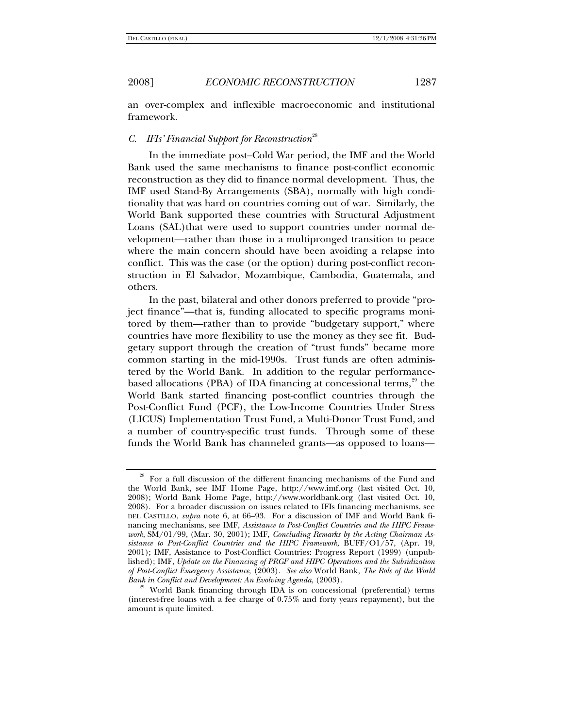an over-complex and inflexible macroeconomic and institutional framework.

## *C. IFIs' Financial Support for Reconstruction*<sup>[28](#page-22-0)</sup>

In the immediate post–Cold War period, the IMF and the World Bank used the same mechanisms to finance post-conflict economic reconstruction as they did to finance normal development. Thus, the IMF used Stand-By Arrangements (SBA), normally with high conditionality that was hard on countries coming out of war. Similarly, the World Bank supported these countries with Structural Adjustment Loans (SAL)that were used to support countries under normal development—rather than those in a multipronged transition to peace where the main concern should have been avoiding a relapse into conflict. This was the case (or the option) during post-conflict reconstruction in El Salvador, Mozambique, Cambodia, Guatemala, and others.

In the past, bilateral and other donors preferred to provide "project finance"—that is, funding allocated to specific programs monitored by them—rather than to provide "budgetary support," where countries have more flexibility to use the money as they see fit. Budgetary support through the creation of "trust funds" became more common starting in the mid-1990s. Trust funds are often administered by the World Bank. In addition to the regular performancebased allocations (PBA) of IDA financing at concessional terms, $^{29}$  $^{29}$  $^{29}$  the World Bank started financing post-conflict countries through the Post-Conflict Fund (PCF), the Low-Income Countries Under Stress (LICUS) Implementation Trust Fund, a Multi-Donor Trust Fund, and a number of country-specific trust funds. Through some of these funds the World Bank has channeled grants—as opposed to loans—

<span id="page-22-0"></span><sup>&</sup>lt;sup>28</sup> For a full discussion of the different financing mechanisms of the Fund and the World Bank, see IMF Home Page, http://www.imf.org (last visited Oct. 10, 2008); World Bank Home Page, http://www.worldbank.org (last visited Oct. 10, 2008). For a broader discussion on issues related to IFIs financing mechanisms, see DEL CASTILLO, *supra* note 6, at 66–93. For a discussion of IMF and World Bank financing mechanisms, see IMF, *Assistance to Post-Conflict Countries and the HIPC Framework*, SM/01/99, (Mar. 30, 2001); IMF, *Concluding Remarks by the Acting Chairman Assistance to Post-Conflict Countries and the HIPC Framework*, BUFF/O1/57, (Apr. 19, 2001); IMF, Assistance to Post-Conflict Countries: Progress Report (1999) (unpublished); IMF, *Update on the Financing of PRGF and HIPC Operations and the Subsidization of Post-Conflict Emergency Assistance*, (2003). *See also* World Bank, *The Role of the World* 

<span id="page-22-1"></span>World Bank financing through IDA is on concessional (preferential) terms (interest-free loans with a fee charge of 0.75% and forty years repayment), but the amount is quite limited.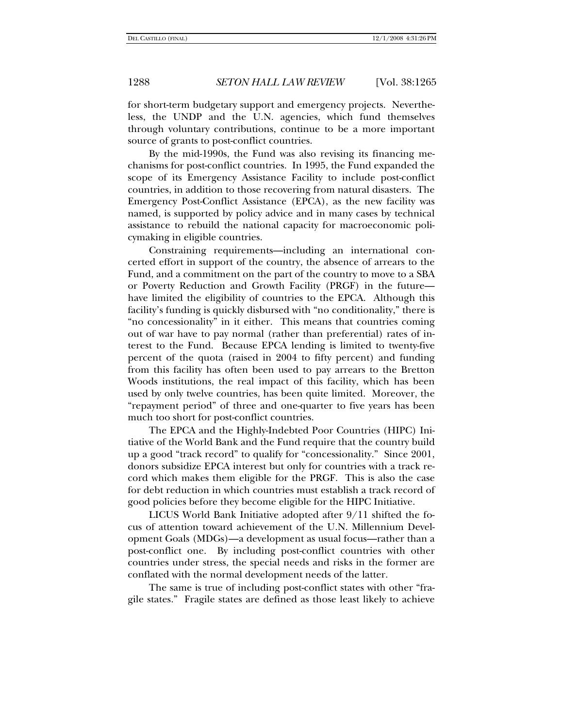for short-term budgetary support and emergency projects. Nevertheless, the UNDP and the U.N. agencies, which fund themselves through voluntary contributions, continue to be a more important source of grants to post-conflict countries.

By the mid-1990s, the Fund was also revising its financing mechanisms for post-conflict countries. In 1995, the Fund expanded the scope of its Emergency Assistance Facility to include post-conflict countries, in addition to those recovering from natural disasters. The Emergency Post-Conflict Assistance (EPCA), as the new facility was named, is supported by policy advice and in many cases by technical assistance to rebuild the national capacity for macroeconomic policymaking in eligible countries.

Constraining requirements—including an international concerted effort in support of the country, the absence of arrears to the Fund, and a commitment on the part of the country to move to a SBA or Poverty Reduction and Growth Facility (PRGF) in the future have limited the eligibility of countries to the EPCA. Although this facility's funding is quickly disbursed with "no conditionality," there is "no concessionality" in it either. This means that countries coming out of war have to pay normal (rather than preferential) rates of interest to the Fund. Because EPCA lending is limited to twenty-five percent of the quota (raised in 2004 to fifty percent) and funding from this facility has often been used to pay arrears to the Bretton Woods institutions, the real impact of this facility, which has been used by only twelve countries, has been quite limited. Moreover, the "repayment period" of three and one-quarter to five years has been much too short for post-conflict countries.

The EPCA and the Highly-Indebted Poor Countries (HIPC) Initiative of the World Bank and the Fund require that the country build up a good "track record" to qualify for "concessionality." Since 2001, donors subsidize EPCA interest but only for countries with a track record which makes them eligible for the PRGF. This is also the case for debt reduction in which countries must establish a track record of good policies before they become eligible for the HIPC Initiative.

LICUS World Bank Initiative adopted after 9/11 shifted the focus of attention toward achievement of the U.N. Millennium Development Goals (MDGs)—a development as usual focus—rather than a post-conflict one. By including post-conflict countries with other countries under stress, the special needs and risks in the former are conflated with the normal development needs of the latter.

The same is true of including post-conflict states with other "fragile states." Fragile states are defined as those least likely to achieve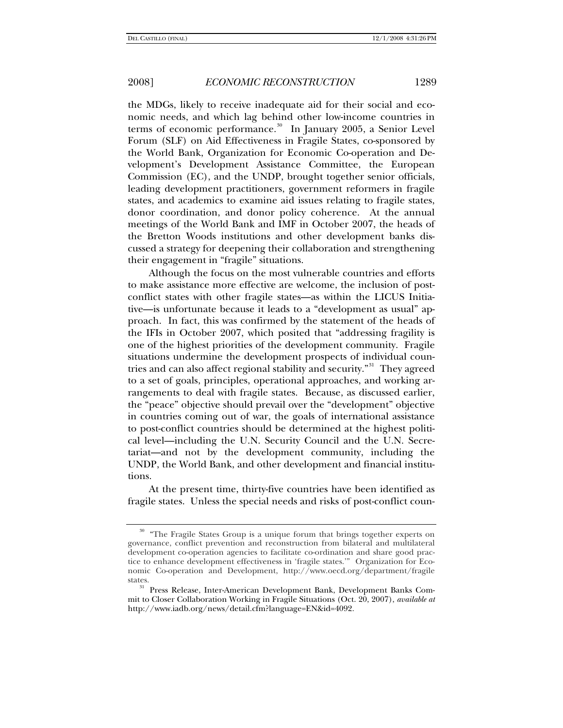the MDGs, likely to receive inadequate aid for their social and economic needs, and which lag behind other low-income countries in terms of economic performance.<sup>[30](#page-24-0)</sup> In January 2005, a Senior Level Forum (SLF) on Aid Effectiveness in Fragile States, co-sponsored by the World Bank, Organization for Economic Co-operation and Development's Development Assistance Committee, the European Commission (EC), and the UNDP, brought together senior officials, leading development practitioners, government reformers in fragile states, and academics to examine aid issues relating to fragile states, donor coordination, and donor policy coherence. At the annual meetings of the World Bank and IMF in October 2007, the heads of the Bretton Woods institutions and other development banks discussed a strategy for deepening their collaboration and strengthening their engagement in "fragile" situations.

Although the focus on the most vulnerable countries and efforts to make assistance more effective are welcome, the inclusion of postconflict states with other fragile states—as within the LICUS Initiative—is unfortunate because it leads to a "development as usual" approach. In fact, this was confirmed by the statement of the heads of the IFIs in October 2007, which posited that "addressing fragility is one of the highest priorities of the development community. Fragile situations undermine the development prospects of individual coun-tries and can also affect regional stability and security."<sup>[31](#page-24-1)</sup> They agreed to a set of goals, principles, operational approaches, and working arrangements to deal with fragile states. Because, as discussed earlier, the "peace" objective should prevail over the "development" objective in countries coming out of war, the goals of international assistance to post-conflict countries should be determined at the highest political level—including the U.N. Security Council and the U.N. Secretariat—and not by the development community, including the UNDP, the World Bank, and other development and financial institutions.

At the present time, thirty-five countries have been identified as fragile states. Unless the special needs and risks of post-conflict coun-

<span id="page-24-0"></span><sup>&</sup>lt;sup>30</sup> "The Fragile States Group is a unique forum that brings together experts on governance, conflict prevention and reconstruction from bilateral and multilateral development co-operation agencies to facilitate co-ordination and share good practice to enhance development effectiveness in 'fragile states.'" Organization for Economic Co-operation and Development, http://www.oecd.org/department/fragile states. 31 Press Release, Inter-American Development Bank, Development Banks Com-

<span id="page-24-1"></span>mit to Closer Collaboration Working in Fragile Situations (Oct. 20, 2007), *available at*  http://www.iadb.org/news/detail.cfm?language=EN&id=4092.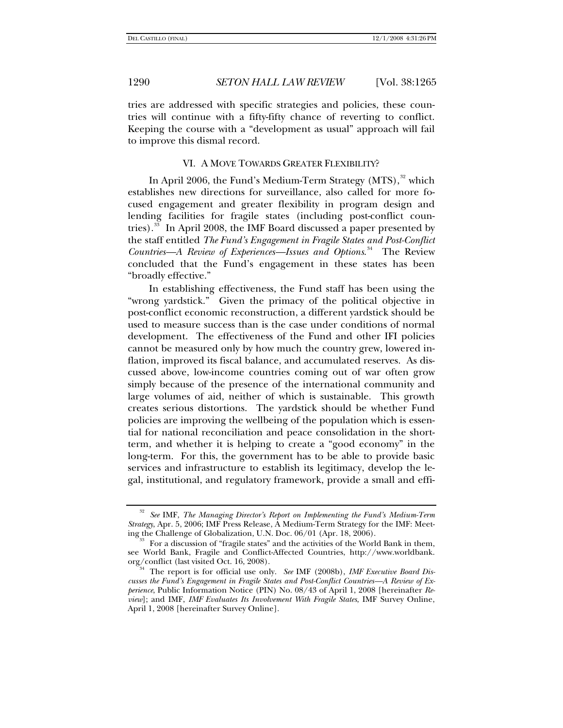tries are addressed with specific strategies and policies, these countries will continue with a fifty-fifty chance of reverting to conflict. Keeping the course with a "development as usual" approach will fail to improve this dismal record.

### VI. A MOVE TOWARDS GREATER FLEXIBILITY?

In April 2006, the Fund's Medium-Term Strategy  $(MTS)$ ,<sup>[32](#page-25-0)</sup> which establishes new directions for surveillance, also called for more focused engagement and greater flexibility in program design and lending facilities for fragile states (including post-conflict coun-tries).<sup>[33](#page-25-1)</sup> In April 2008, the IMF Board discussed a paper presented by the staff entitled *The Fund's Engagement in Fragile States and Post-Conflict Countries—A Review of Experiences—Issues and Options*. [34](#page-25-2) The Review concluded that the Fund's engagement in these states has been "broadly effective."

In establishing effectiveness, the Fund staff has been using the "wrong yardstick." Given the primacy of the political objective in post-conflict economic reconstruction, a different yardstick should be used to measure success than is the case under conditions of normal development. The effectiveness of the Fund and other IFI policies cannot be measured only by how much the country grew, lowered inflation, improved its fiscal balance, and accumulated reserves. As discussed above, low-income countries coming out of war often grow simply because of the presence of the international community and large volumes of aid, neither of which is sustainable. This growth creates serious distortions. The yardstick should be whether Fund policies are improving the wellbeing of the population which is essential for national reconciliation and peace consolidation in the shortterm, and whether it is helping to create a "good economy" in the long-term. For this, the government has to be able to provide basic services and infrastructure to establish its legitimacy, develop the legal, institutional, and regulatory framework, provide a small and effi-

<span id="page-25-0"></span><sup>32</sup> *See* IMF, *The Managing Director's Report on Implementing the Fund's Medium-Term Strategy*, Apr. 5, 2006; IMF Press Release, A Medium-Term Strategy for the IMF: Meet-

<span id="page-25-1"></span>For a discussion of "fragile states" and the activities of the World Bank in them, see World Bank, Fragile and Conflict-Affected Countries, http://www.worldbank.

<span id="page-25-2"></span>The report is for official use only. *See* IMF (2008b), *IMF Executive Board Discusses the Fund's Engagement in Fragile States and Post-Conflict Countries—A Review of Experience*, Public Information Notice (PIN) No. 08/43 of April 1, 2008 [hereinafter *Review*]; and IMF, *IMF Evaluates Its Involvement With Fragile States*, IMF Survey Online, April 1, 2008 [hereinafter Survey Online].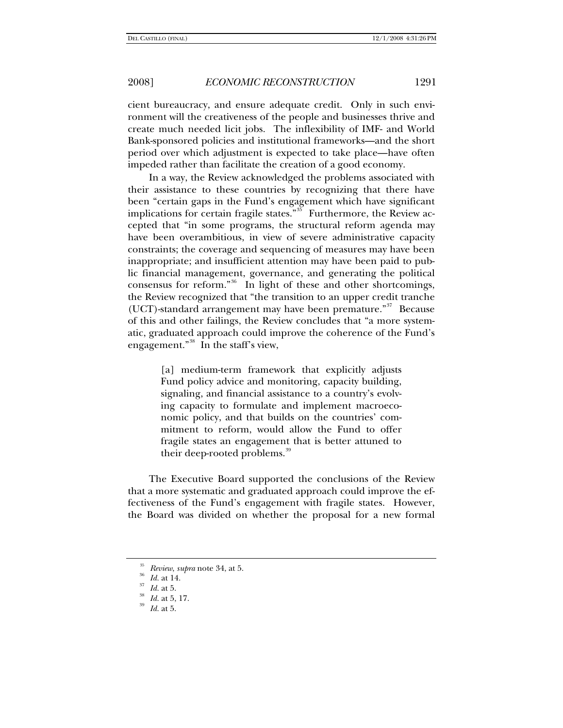cient bureaucracy, and ensure adequate credit. Only in such environment will the creativeness of the people and businesses thrive and create much needed licit jobs. The inflexibility of IMF- and World Bank-sponsored policies and institutional frameworks—and the short period over which adjustment is expected to take place—have often impeded rather than facilitate the creation of a good economy.

In a way, the Review acknowledged the problems associated with their assistance to these countries by recognizing that there have been "certain gaps in the Fund's engagement which have significant implications for certain fragile states."<sup>[35](#page-26-0)</sup> Furthermore, the Review accepted that "in some programs, the structural reform agenda may have been overambitious, in view of severe administrative capacity constraints; the coverage and sequencing of measures may have been inappropriate; and insufficient attention may have been paid to public financial management, governance, and generating the political consensus for reform."[36](#page-26-1) In light of these and other shortcomings, the Review recognized that "the transition to an upper credit tranche (UCT)-standard arrangement may have been premature.<sup>"[37](#page-26-2)</sup> Because of this and other failings, the Review concludes that "a more systematic, graduated approach could improve the coherence of the Fund's engagement."[38](#page-26-3) In the staff's view,

> [a] medium-term framework that explicitly adjusts Fund policy advice and monitoring, capacity building, signaling, and financial assistance to a country's evolving capacity to formulate and implement macroeconomic policy, and that builds on the countries' commitment to reform, would allow the Fund to offer fragile states an engagement that is better attuned to their deep-rooted problems.<sup>[39](#page-26-4)</sup>

The Executive Board supported the conclusions of the Review that a more systematic and graduated approach could improve the effectiveness of the Fund's engagement with fragile states. However, the Board was divided on whether the proposal for a new formal

<span id="page-26-0"></span><sup>35</sup> *Review*, *supra* note 34, at 5. 36 *Id.* at 14. 37 *Id.* at 5. 38 *Id.* at 5, 17. <sup>39</sup> *Id.* at 5.

<span id="page-26-1"></span>

<span id="page-26-3"></span><span id="page-26-2"></span>

<span id="page-26-4"></span>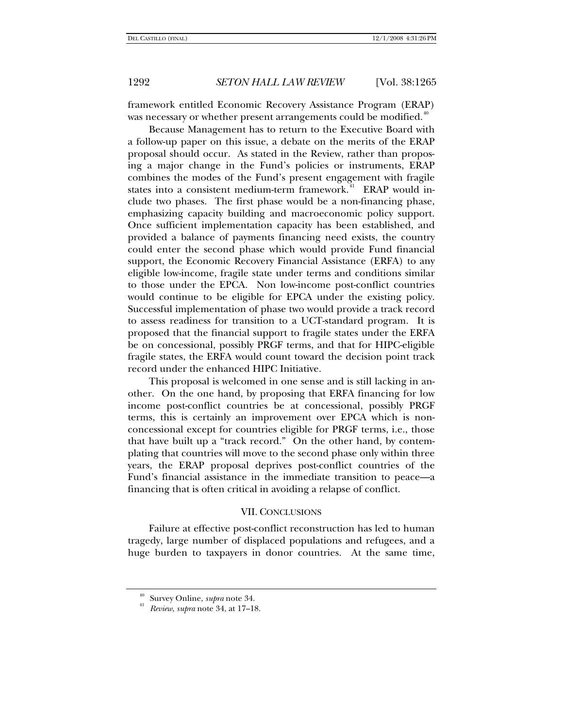framework entitled Economic Recovery Assistance Program (ERAP) was necessary or whether present arrangements could be modified.<sup>[40](#page-27-0)</sup>

Because Management has to return to the Executive Board with a follow-up paper on this issue, a debate on the merits of the ERAP proposal should occur. As stated in the Review, rather than proposing a major change in the Fund's policies or instruments, ERAP combines the modes of the Fund's present engagement with fragile states into a consistent medium-term framework.<sup>[41](#page-27-1)</sup> ERAP would include two phases. The first phase would be a non-financing phase, emphasizing capacity building and macroeconomic policy support. Once sufficient implementation capacity has been established, and provided a balance of payments financing need exists, the country could enter the second phase which would provide Fund financial support, the Economic Recovery Financial Assistance (ERFA) to any eligible low-income, fragile state under terms and conditions similar to those under the EPCA. Non low-income post-conflict countries would continue to be eligible for EPCA under the existing policy. Successful implementation of phase two would provide a track record to assess readiness for transition to a UCT-standard program. It is proposed that the financial support to fragile states under the ERFA be on concessional, possibly PRGF terms, and that for HIPC-eligible fragile states, the ERFA would count toward the decision point track record under the enhanced HIPC Initiative.

This proposal is welcomed in one sense and is still lacking in another. On the one hand, by proposing that ERFA financing for low income post-conflict countries be at concessional, possibly PRGF terms, this is certainly an improvement over EPCA which is nonconcessional except for countries eligible for PRGF terms, i.e., those that have built up a "track record." On the other hand, by contemplating that countries will move to the second phase only within three years, the ERAP proposal deprives post-conflict countries of the Fund's financial assistance in the immediate transition to peace—a financing that is often critical in avoiding a relapse of conflict.

### VII. CONCLUSIONS

Failure at effective post-conflict reconstruction has led to human tragedy, large number of displaced populations and refugees, and a huge burden to taxpayers in donor countries. At the same time,

<span id="page-27-1"></span><span id="page-27-0"></span><sup>40</sup> Survey Online, *supra* note 34. 41 *Review*, *supra* note 34, at 17–18.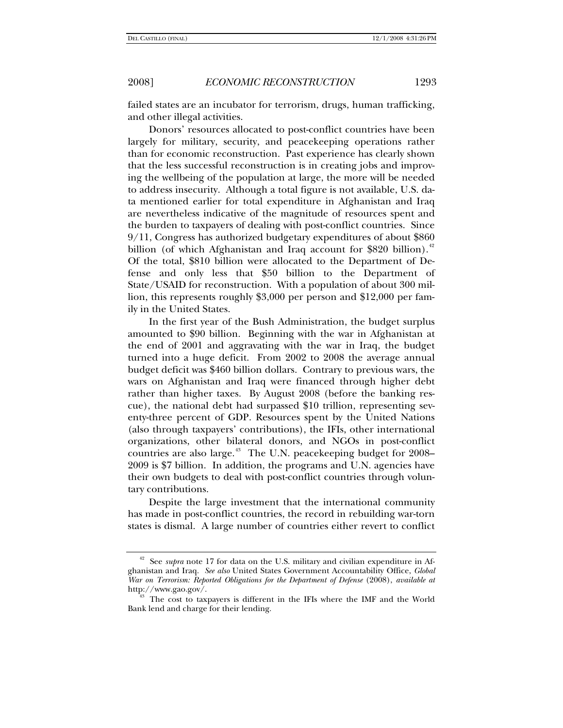failed states are an incubator for terrorism, drugs, human trafficking, and other illegal activities.

Donors' resources allocated to post-conflict countries have been largely for military, security, and peacekeeping operations rather than for economic reconstruction. Past experience has clearly shown that the less successful reconstruction is in creating jobs and improving the wellbeing of the population at large, the more will be needed to address insecurity. Although a total figure is not available, U.S. data mentioned earlier for total expenditure in Afghanistan and Iraq are nevertheless indicative of the magnitude of resources spent and the burden to taxpayers of dealing with post-conflict countries. Since 9/11, Congress has authorized budgetary expenditures of about \$860 billion (of which Afghanistan and Iraq account for \$820 billion).<sup>[42](#page-28-0)</sup> Of the total, \$810 billion were allocated to the Department of Defense and only less that \$50 billion to the Department of State/USAID for reconstruction. With a population of about 300 million, this represents roughly \$3,000 per person and \$12,000 per family in the United States.

In the first year of the Bush Administration, the budget surplus amounted to \$90 billion. Beginning with the war in Afghanistan at the end of 2001 and aggravating with the war in Iraq, the budget turned into a huge deficit. From 2002 to 2008 the average annual budget deficit was \$460 billion dollars. Contrary to previous wars, the wars on Afghanistan and Iraq were financed through higher debt rather than higher taxes. By August 2008 (before the banking rescue), the national debt had surpassed \$10 trillion, representing seventy-three percent of GDP. Resources spent by the United Nations (also through taxpayers' contributions), the IFIs, other international organizations, other bilateral donors, and NGOs in post-conflict countries are also large.<sup>[43](#page-28-1)</sup> The U.N. peacekeeping budget for 2008– 2009 is \$7 billion. In addition, the programs and U.N. agencies have their own budgets to deal with post-conflict countries through voluntary contributions.

Despite the large investment that the international community has made in post-conflict countries, the record in rebuilding war-torn states is dismal. A large number of countries either revert to conflict

<span id="page-28-0"></span><sup>42</sup> See *supra* note 17 for data on the U.S. military and civilian expenditure in Afghanistan and Iraq. *See also* United States Government Accountability Office, *Global War on Terrorism: Reported Obligations for the Department of Defense* (2008), *available at* http://www.gao.gov/.<br><sup>43</sup> The cost to taxpayers is different in the IFIs where the IMF and the World

<span id="page-28-1"></span>Bank lend and charge for their lending.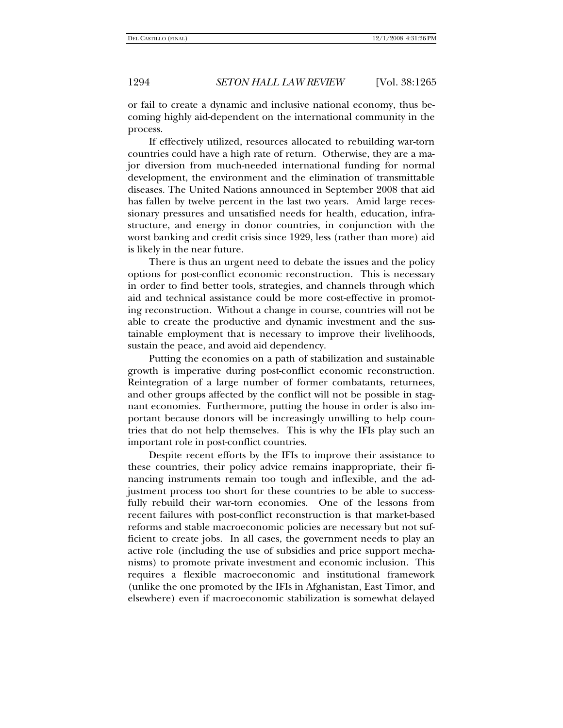or fail to create a dynamic and inclusive national economy, thus becoming highly aid-dependent on the international community in the process.

If effectively utilized, resources allocated to rebuilding war-torn countries could have a high rate of return. Otherwise, they are a major diversion from much-needed international funding for normal development, the environment and the elimination of transmittable diseases. The United Nations announced in September 2008 that aid has fallen by twelve percent in the last two years. Amid large recessionary pressures and unsatisfied needs for health, education, infrastructure, and energy in donor countries, in conjunction with the worst banking and credit crisis since 1929, less (rather than more) aid is likely in the near future.

There is thus an urgent need to debate the issues and the policy options for post-conflict economic reconstruction. This is necessary in order to find better tools, strategies, and channels through which aid and technical assistance could be more cost-effective in promoting reconstruction. Without a change in course, countries will not be able to create the productive and dynamic investment and the sustainable employment that is necessary to improve their livelihoods, sustain the peace, and avoid aid dependency.

Putting the economies on a path of stabilization and sustainable growth is imperative during post-conflict economic reconstruction. Reintegration of a large number of former combatants, returnees, and other groups affected by the conflict will not be possible in stagnant economies. Furthermore, putting the house in order is also important because donors will be increasingly unwilling to help countries that do not help themselves. This is why the IFIs play such an important role in post-conflict countries.

Despite recent efforts by the IFIs to improve their assistance to these countries, their policy advice remains inappropriate, their financing instruments remain too tough and inflexible, and the adjustment process too short for these countries to be able to successfully rebuild their war-torn economies. One of the lessons from recent failures with post-conflict reconstruction is that market-based reforms and stable macroeconomic policies are necessary but not sufficient to create jobs. In all cases, the government needs to play an active role (including the use of subsidies and price support mechanisms) to promote private investment and economic inclusion. This requires a flexible macroeconomic and institutional framework (unlike the one promoted by the IFIs in Afghanistan, East Timor, and elsewhere) even if macroeconomic stabilization is somewhat delayed